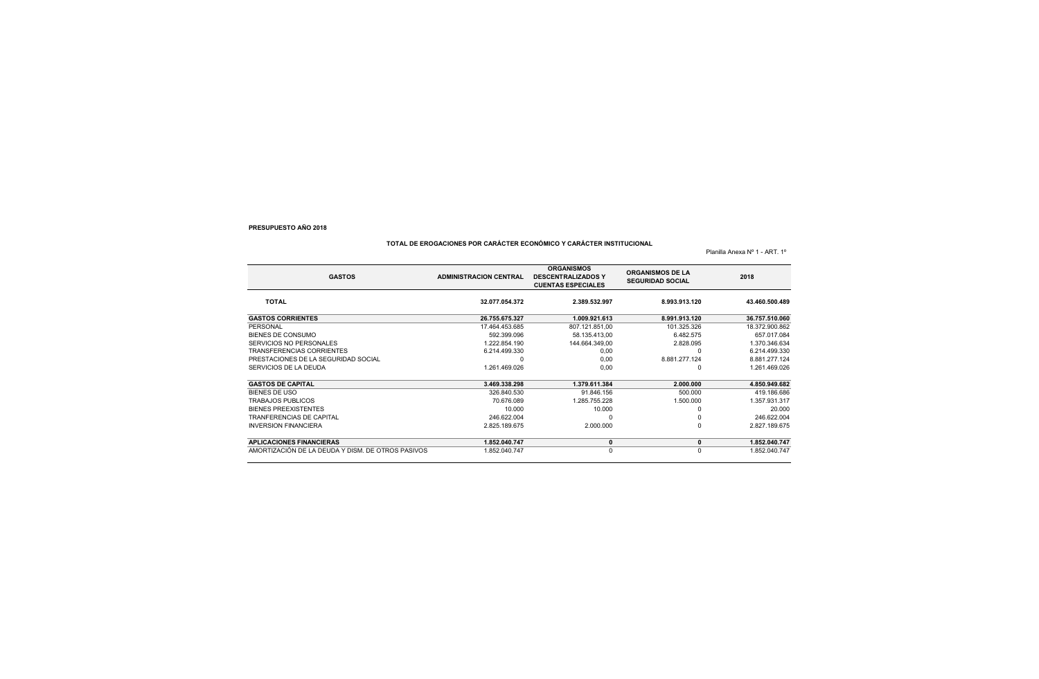## **TOTAL DE EROGACIONES POR CARÁCTER ECONÓMICO Y CARÁCTER INSTITUCIONAL**

Planilla Anexa Nº 1 - ART. 1º

| <b>GASTOS</b>                                     | <b>ADMINISTRACION CENTRAL</b> | <b>ORGANISMOS</b><br><b>DESCENTRALIZADOS Y</b><br><b>CUENTAS ESPECIALES</b> | <b>ORGANISMOS DE LA</b><br><b>SEGURIDAD SOCIAL</b> | 2018           |
|---------------------------------------------------|-------------------------------|-----------------------------------------------------------------------------|----------------------------------------------------|----------------|
| <b>TOTAL</b>                                      | 32.077.054.372                | 2.389.532.997                                                               | 8.993.913.120                                      | 43.460.500.489 |
| <b>GASTOS CORRIENTES</b>                          | 26.755.675.327                | 1.009.921.613                                                               | 8.991.913.120                                      | 36.757.510.060 |
| PERSONAL                                          | 17.464.453.685                | 807.121.851.00                                                              | 101.325.326                                        | 18.372.900.862 |
| BIENES DE CONSUMO                                 | 592.399.096                   | 58.135.413,00                                                               | 6.482.575                                          | 657.017.084    |
| SERVICIOS NO PERSONALES                           | 1.222.854.190                 | 144.664.349,00                                                              | 2.828.095                                          | 1.370.346.634  |
| <b>TRANSFERENCIAS CORRIENTES</b>                  | 6.214.499.330                 | 0.00                                                                        | $\Omega$                                           | 6.214.499.330  |
| PRESTACIONES DE LA SEGURIDAD SOCIAL               |                               | 0,00                                                                        | 8.881.277.124                                      | 8.881.277.124  |
| SERVICIOS DE LA DEUDA                             | 1.261.469.026                 | 0.00                                                                        | $\Omega$                                           | 1.261.469.026  |
| <b>GASTOS DE CAPITAL</b>                          | 3.469.338.298                 | 1.379.611.384                                                               | 2.000.000                                          | 4.850.949.682  |
| <b>BIENES DE USO</b>                              | 326.840.530                   | 91.846.156                                                                  | 500.000                                            | 419.186.686    |
| <b>TRABAJOS PUBLICOS</b>                          | 70.676.089                    | 1.285.755.228                                                               | 1.500.000                                          | 1.357.931.317  |
| <b>BIENES PREEXISTENTES</b>                       | 10.000                        | 10.000                                                                      |                                                    | 20,000         |
| <b>TRANFERENCIAS DE CAPITAL</b>                   | 246.622.004                   |                                                                             |                                                    | 246.622.004    |
| <b>INVERSION FINANCIERA</b>                       | 2.825.189.675                 | 2.000.000                                                                   | $\Omega$                                           | 2.827.189.675  |
| <b>APLICACIONES FINANCIERAS</b>                   | 1.852.040.747                 | 0                                                                           | 0                                                  | 1.852.040.747  |
| AMORTIZACIÓN DE LA DEUDA Y DISM. DE OTROS PASIVOS | 1.852.040.747                 | 0                                                                           | $\Omega$                                           | 1.852.040.747  |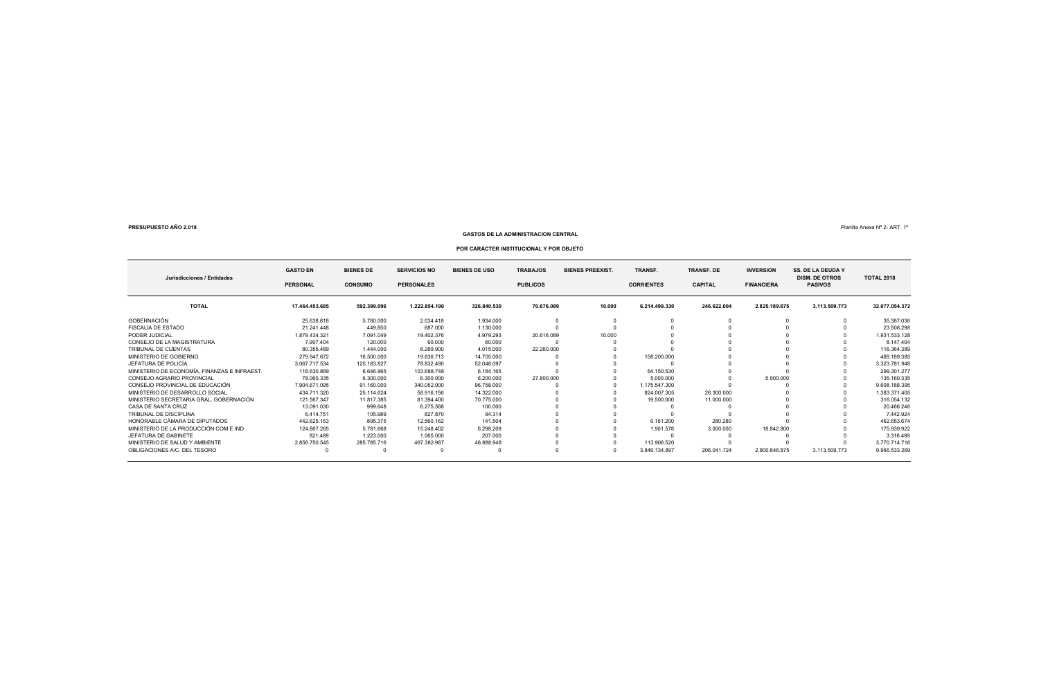### **GASTOS DE LA ADMINISTRACION CENTRAL**

### Planilla Anexa Nº 2- ART. 1º

### **POR CARÁCTER INSTITUCIONAL Y POR OBJETO**

| Jurisdicciones / Entidades                  | <b>GASTO EN</b><br><b>PERSONAL</b> | <b>BIENES DE</b><br><b>CONSUMO</b> | <b>SERVICIOS NO</b><br><b>PERSONALES</b> | <b>BIENES DE USO</b> | <b>TRABAJOS</b><br><b>PUBLICOS</b> | <b>BIENES PREEXIST.</b> | TRANSF.<br><b>TRANSF. DE</b><br><b>CORRIENTES</b><br><b>CAPITAL</b> |             | <b>INVERSION</b><br><b>FINANCIERA</b> | <b>SS. DE LA DEUDA Y</b><br><b>DISM. DE OTROS</b><br><b>PASIVOS</b> | <b>TOTAL 2018</b> |
|---------------------------------------------|------------------------------------|------------------------------------|------------------------------------------|----------------------|------------------------------------|-------------------------|---------------------------------------------------------------------|-------------|---------------------------------------|---------------------------------------------------------------------|-------------------|
| <b>TOTAL</b>                                | 17.464.453.685                     | 592.399.096                        | 1.222.854.190                            | 326.840.530          | 70.676.089                         | 10.000                  | 6.214.499.330                                                       | 246.622.004 | 2.825.189.675                         | 3.113.509.773                                                       | 32.077.054.372    |
| GOBERNACIÓN                                 | 25.638.618                         | 5.780.000                          | 2.034.418                                | 1.934.000            |                                    |                         |                                                                     |             |                                       |                                                                     | 35.387.036        |
| FISCALÍA DE ESTADO                          | 21.241.448                         | 449.850                            | 687.000                                  | 1.130.000            |                                    |                         |                                                                     |             |                                       |                                                                     | 23.508.298        |
| PODER JUDICIAL                              | 1.879.434.321                      | 7.091.049                          | 19.402.376                               | 4.979.293            | 20.616.089                         | 10.000                  |                                                                     |             |                                       |                                                                     | 1.931.533.128     |
| CONSEJO DE LA MAGISTRATURA                  | 7.907.404                          | 120,000                            | 60,000                                   | 60,000               |                                    |                         |                                                                     |             |                                       |                                                                     | 8.147.404         |
| TRIBUNAL DE CUENTAS                         | 80.355.489                         | 1.444.000                          | 8.289.900                                | 4.015.000            | 22.260.000                         |                         |                                                                     |             |                                       |                                                                     | 116.364.389       |
| MINISTERIO DE GOBIERNO                      | 279.947.672                        | 16,500,000                         | 19.836.713                               | 14.705.000           |                                    |                         | 158.200.000                                                         |             |                                       |                                                                     | 489.189.385       |
| JEFATURA DE POLICÍA                         | 3.067.717.534                      | 125.183.827                        | 78.832.490                               | 52.048.097           |                                    |                         |                                                                     |             |                                       |                                                                     | 3.323.781.948     |
| MINISTERIO DE ECONOMÍA. FINANZAS E INFRAEST | 118.630.869                        | 6.646.965                          | 103.688.748                              | 6.184.165            |                                    |                         | 64.150.530                                                          |             |                                       |                                                                     | 299.301.277       |
| CONSEJO AGRARIO PROVINCIAL                  | 78.060.335                         | 6.300.000                          | 6.300.000                                | 6.200.000            | 27,800,000                         |                         | 5.000.000                                                           |             | 5.500.000                             |                                                                     | 135.160.335       |
| CONSEJO PROVINCIAL DE EDUCACIÓN             | 7.904.671.095                      | 91.160.000                         | 340.052.000                              | 96.758.000           |                                    |                         | 1.175.547.300                                                       |             |                                       |                                                                     | 9.608.188.395     |
| MINISTERIO DE DESARROLLO SOCIAL             | 434.711.320                        | 25.114.624                         | 58.916.156                               | 14.322.000           |                                    |                         | 824.007.305                                                         | 26.300.000  |                                       |                                                                     | 1.383.371.405     |
| MINISTERIO SECRETARIA GRAL, GOBERNACIÓN     | 121.567.347                        | 11.817.385                         | 81.394.400                               | 70.775.000           |                                    |                         | 19,500,000                                                          | 11.000.000  |                                       |                                                                     | 316.054.132       |
| CASA DE SANTA CRUZ                          | 13.091.030                         | 999.648                            | 6.275.568                                | 100,000              |                                    |                         |                                                                     |             |                                       |                                                                     | 20.466.246        |
| TRIBUNAL DE DISCIPLINA                      | 6.414.751                          | 105.989                            | 827.870                                  | 94.314               |                                    |                         |                                                                     |             |                                       |                                                                     | 7.442.924         |
| HONORABLE CÁMARA DE DIPUTADOS               | 442.625.153                        | 895.375                            | 12.560.162                               | 141.504              |                                    |                         | 6.151.200                                                           | 280.280     |                                       |                                                                     | 462.653.674       |
| MINISTERIO DE LA PRODUCCIÓN COM E IND       | 124.867.265                        | 5.781.668                          | 15.248.402                               | 6.298.209            |                                    |                         | 1.901.578                                                           | 3.000.000   | 18.842.800                            |                                                                     | 175.939.922       |
| JEFATURA DE GABINETE                        | 821.489                            | 1.223.000                          | 1.065.000                                | 207.000              |                                    |                         |                                                                     |             |                                       |                                                                     | 3.316.489         |
| MINISTERIO DE SALUD Y AMBIENTE              | 2.856.750.545                      | 285.785.716                        | 467.382.987                              | 46.888.948           |                                    |                         | 113.906.520                                                         |             |                                       |                                                                     | 3.770.714.716     |
| OBLIGACIONES A/C, DEL TESORO                |                                    |                                    |                                          |                      |                                    |                         | 3.846.134.897                                                       | 206.041.724 | 2.800.846.875                         | 3.113.509.773                                                       | 9.966.533.269     |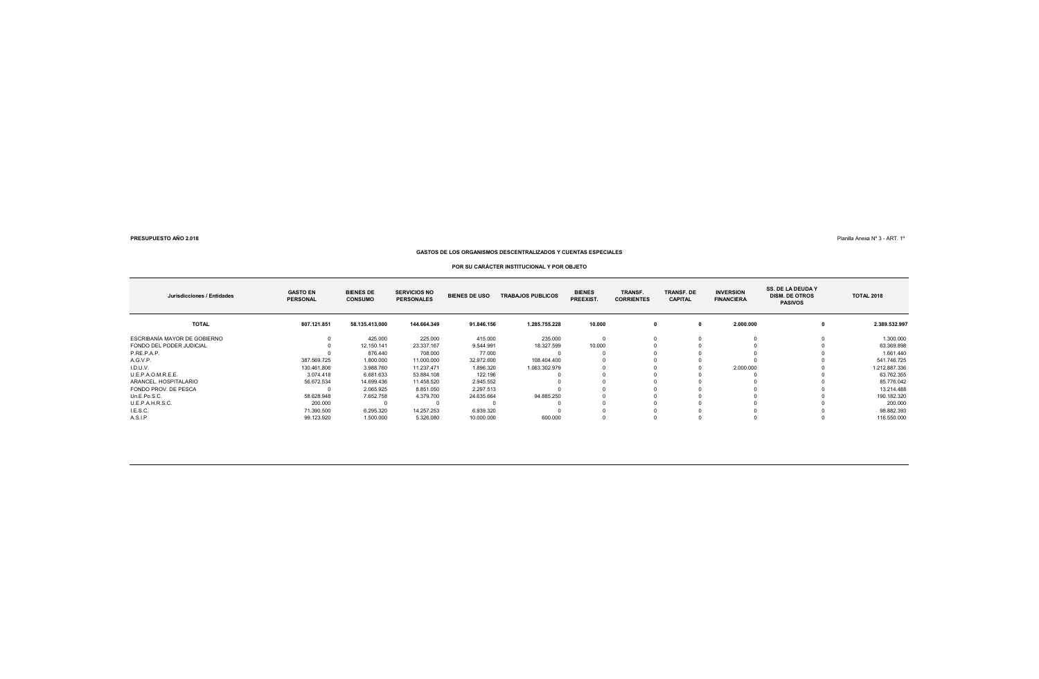Planilla Anexa Nº 3 - ART. 1º

**GASTOS DE LOS ORGANISMOS DESCENTRALIZADOS Y CUENTAS ESPECIALES**

### **POR SU CARÁCTER INSTITUCIONAL Y POR OBJETO**

| Jurisdicciones / Entidades   | <b>GASTO EN</b><br><b>PERSONAL</b> | <b>BIENES DE</b><br><b>CONSUMO</b> | <b>SERVICIOS NO</b><br><b>PERSONALES</b> | <b>BIENES DE USO</b> | <b>TRABAJOS PUBLICOS</b> | <b>BIENES</b><br>PREEXIST. | TRANSF.<br><b>CORRIENTES</b> | <b>TRANSF. DE</b><br><b>CAPITAL</b> | <b>INVERSION</b><br><b>FINANCIERA</b> | <b>SS. DE LA DEUDA Y</b><br><b>DISM. DE OTROS</b><br><b>PASIVOS</b> | <b>TOTAL 2018</b> |
|------------------------------|------------------------------------|------------------------------------|------------------------------------------|----------------------|--------------------------|----------------------------|------------------------------|-------------------------------------|---------------------------------------|---------------------------------------------------------------------|-------------------|
| <b>TOTAL</b>                 | 807.121.851                        | 58.135.413,000                     | 144.664.349                              | 91.846.156           | 1.285.755.228            | 10.000                     | 0                            | $\Omega$                            | 2.000.000                             |                                                                     | 2.389.532.997     |
| ESCRIBANÍA MAYOR DE GOBIERNO |                                    | 425.000                            | 225.000                                  | 415.000              | 235,000                  |                            |                              |                                     |                                       |                                                                     | 1.300.000         |
| FONDO DEL PODER JUDICIAL     |                                    | 12.150.141                         | 23.337.167                               | 9.544.991            | 18.327.599               | 10,000                     |                              |                                     |                                       |                                                                     | 63.369.898        |
| P.RE.P.A.P.                  |                                    | 876,440                            | 708,000                                  | 77.000               |                          |                            |                              |                                     |                                       |                                                                     | 1.661.440         |
| A.G.V.P.                     | 387.569.725                        | 1.800.000                          | 11.000.000                               | 32.972.600           | 108.404.400              |                            |                              |                                     |                                       |                                                                     | 541.746.725       |
| I.D.U.V.                     | 130.461.806                        | 3.988.760                          | 11.237.471                               | 1.896.320            | 1.063.302.979            |                            |                              |                                     | 2.000.000                             |                                                                     | 1.212.887.336     |
| U.E.P.A.O.M.R.E.E.           | 3.074.418                          | 6.681.633                          | 53.884.108                               | 122.196              |                          |                            |                              |                                     |                                       |                                                                     | 63.762.355        |
| ARANCEL, HOSPITALARIO        | 56.672.534                         | 14.699.436                         | 11.458.520                               | 2.945.552            |                          |                            |                              |                                     |                                       |                                                                     | 85.776.042        |
| FONDO PROV. DE PESCA         |                                    | 2.065.925                          | 8.851.050                                | 2.297.513            |                          |                            |                              |                                     |                                       |                                                                     | 13.214.488        |
| Un.E.Po.S.C.                 | 58.628.948                         | 7.652.758                          | 4.379.700                                | 24.635.664           | 94.885.250               |                            |                              |                                     |                                       |                                                                     | 190.182.320       |
| U.E.P.A.H.R.S.C.             | 200,000                            |                                    |                                          |                      |                          |                            |                              |                                     |                                       |                                                                     | 200.000           |
| I.E.S.C.                     | 71.390.500                         | 6.295.320                          | 14.257.253                               | 6.939.320            |                          |                            |                              |                                     |                                       |                                                                     | 98.882.393        |
| A.S.I.P                      | 99.123.920                         | 1.500.000                          | 5.326.080                                | 10.000.000           | 600.000                  |                            |                              |                                     |                                       |                                                                     | 116.550.000       |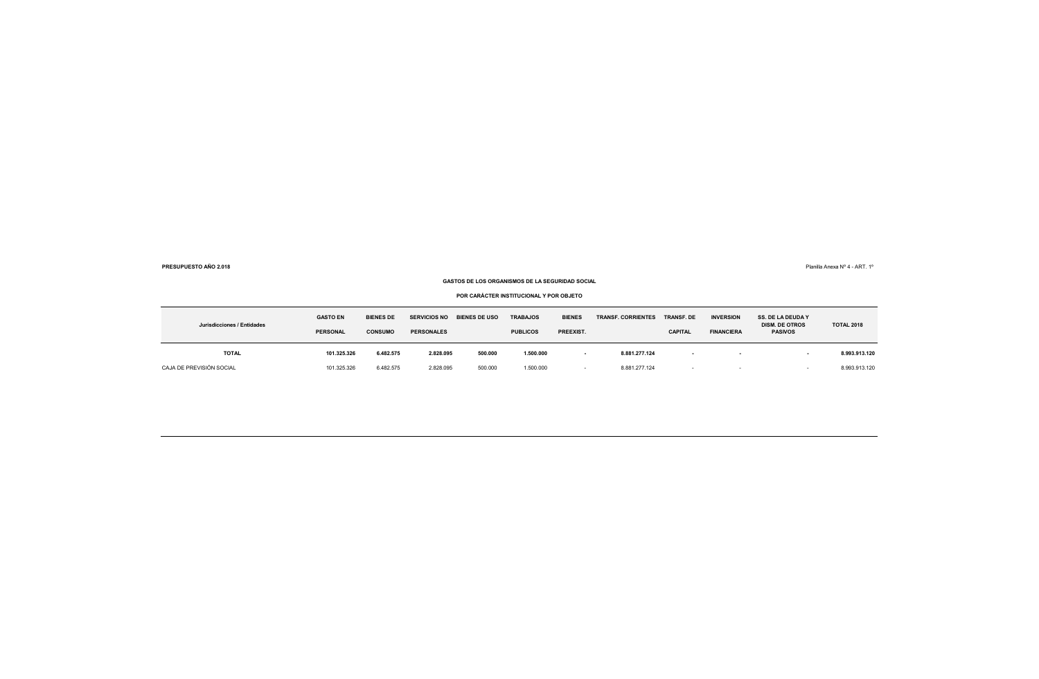Planilla Anexa Nº 4 - ART. 1º

### **GASTOS DE LOS ORGANISMOS DE LA SEGURIDAD SOCIAL**

**POR CARÁCTER INSTITUCIONAL Y POR OBJETO**

| Jurisdicciones / Entidades | <b>GASTO EN</b><br><b>PERSONAL</b> | <b>BIENES DE</b><br><b>SERVICIOS NO</b><br><b>CONSUMO</b><br><b>PERSONALES</b> |           | <b>BIENES DE USO</b> | <b>TRABAJOS</b><br><b>PUBLICOS</b> | <b>BIENES</b><br>PREEXIST. | <b>TRANSF. CORRIENTES</b> | <b>TRANSF. DE</b><br><b>CAPITAL</b> | <b>INVERSION</b><br><b>FINANCIERA</b> | <b>SS. DE LA DEUDA Y</b><br><b>DISM. DE OTROS</b><br><b>PASIVOS</b> | <b>TOTAL 2018</b> |
|----------------------------|------------------------------------|--------------------------------------------------------------------------------|-----------|----------------------|------------------------------------|----------------------------|---------------------------|-------------------------------------|---------------------------------------|---------------------------------------------------------------------|-------------------|
| <b>TOTAL</b>               | 101.325.326                        | 6.482.575                                                                      | 2.828.095 | 500.000              | 1.500.000                          | $\overline{\phantom{a}}$   | 8.881.277.124             |                                     | . .                                   |                                                                     | 8.993.913.120     |
| CAJA DE PREVISIÓN SOCIAL   | 101.325.326                        | 6.482.575                                                                      | 2.828.095 | 500.000              | 1.500.000                          |                            | 8.881.277.124             | $\overline{\phantom{a}}$            |                                       |                                                                     | 8.993.913.120     |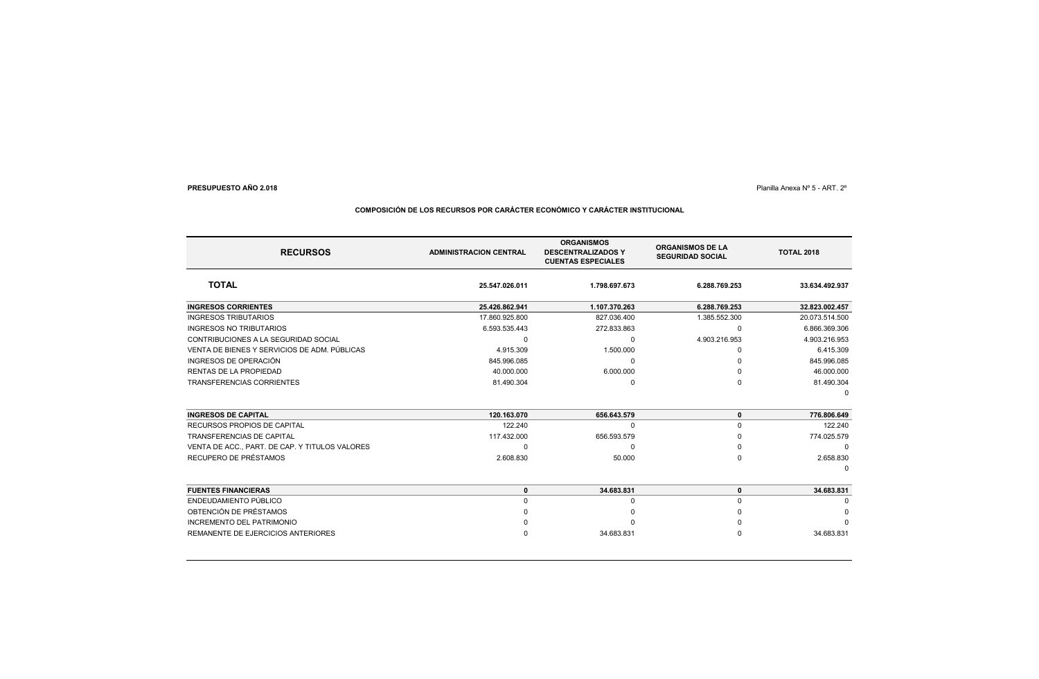### Planilla Anexa Nº 5 - ART. 2º

### **RECURSOSTOTAL 25.547.026.011 1.798.697.673 6.288.769.253 33.634.492.937 INGRESOS CORRIENTES 25.426.862.941 1.107.370.263 6.288.769.253 32.823.002.457** INGRESOS TRIBUTARIOS17.860.925.800 827.036.400 827.036.400 1.385.552.300 20.073.514.500 INGRESOS NO TRIBUTARIOS 6.593.535.443 272.833.863 <sup>0</sup> 6.866.369.306 CONTRIBUCIONES A LA SEGURIDAD SOCIAL <sup>0</sup> <sup>0</sup> 4.903.216.953 4.903.216.953 VENTA DE BIENES Y SERVICIOS DE ADM. PÚBLICAS**5** 1.500.000 **0 6.415.309** 1.500.000 0 0 6.415.309 INGRESOS DE OPERACIÓN 845.996.085 <sup>0</sup> <sup>0</sup> 845.996.085 RENTAS DE LA PROPIEDAD**D** and the contract of the contract of the contract of the contract of the contract of the contract of the contract of the contract of the contract of the contract of the contract of the contract of the contract of the co TRANSFERENCIAS CORRIENTES 81.490.304 <sup>0</sup> <sup>0</sup> 81.490.304 0**INGRESOS DE CAPITAL 120.163.070 656.643.579 <sup>0</sup> 776.806.649** RECURSOS PROPIOS DE CAPITAL $122.240$  0 0 122.240 TRANSFERENCIAS DE CAPITAL 117.432.000 656.593.579 <sup>0</sup> 774.025.579 VENTA DE ACC., PART. DE CAP. Y TITULOS VALORES <sup>0</sup> <sup>0</sup> <sup>0</sup> <sup>0</sup> RECUPERO DE PRÉSTAMOSexternal contracts to the contracts of the contracts of the contracts of the contracts of the contracts of the contracts of the contracts of the contracts of the contracts of the contracts of the contracts of the contract 0**FUENTES FINANCIERAS <sup>0</sup> 34.683.831 <sup>0</sup> 34.683.831** ENDEUDAMIENTO PÚBLICO <sup>0</sup> <sup>0</sup> <sup>0</sup> <sup>0</sup> OBTENCIÓN DE PRÉSTAMOS <sup>0</sup> <sup>0</sup> <sup>0</sup> <sup>0</sup> INCREMENTO DEL PATRIMONIO <sup>0</sup> <sup>0</sup> <sup>0</sup> <sup>0</sup> REMANENTE DE EJERCICIOS ANTERIORESS 0 34.683.831 0 34.683.831 **ADMINISTRACION CENTRALORGANISMOS DESCENTRALIZADOS Y CUENTAS ESPECIALESORGANISMOS DE LA SEGURIDAD SOCIALTOTAL 2018**

### **COMPOSICIÓN DE LOS RECURSOS POR CARÁCTER ECONÓMICO Y CARÁCTER INSTITUCIONAL**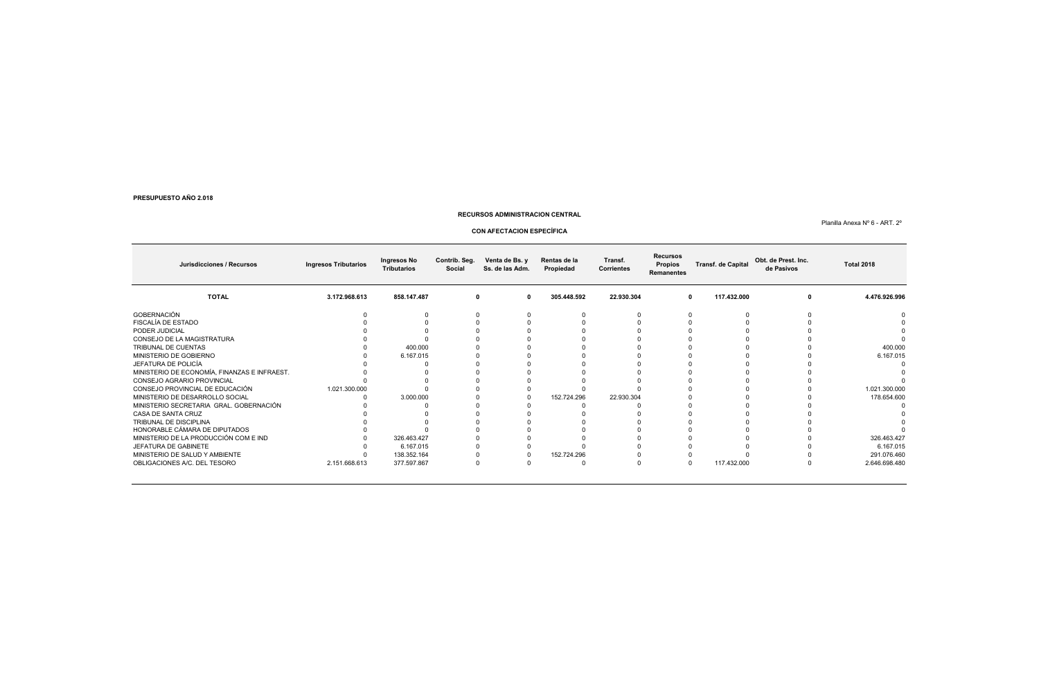### **RECURSOS ADMINISTRACION CENTRAL**

### Planilla Anexa Nº 6 - ART. 2º

### **CON AFECTACION ESPECÍFICA**

| Jurisdicciones / Recursos                    | <b>Ingresos Tributarios</b> | Ingresos No<br><b>Tributarios</b> | Contrib. Seg.<br>Social | Venta de Bs. y<br>Ss. de las Adm. | Rentas de la<br>Propiedad | Transf.<br><b>Corrientes</b> | <b>Recursos</b><br>Propios<br><b>Remanentes</b> | <b>Transf. de Capital</b> | Obt. de Prest. Inc.<br>de Pasivos | <b>Total 2018</b> |
|----------------------------------------------|-----------------------------|-----------------------------------|-------------------------|-----------------------------------|---------------------------|------------------------------|-------------------------------------------------|---------------------------|-----------------------------------|-------------------|
| <b>TOTAL</b>                                 | 3.172.968.613               | 858.147.487                       | 0                       | $\Omega$                          | 305.448.592               | 22.930.304                   |                                                 | 117.432.000<br>0          |                                   | 4.476.926.996     |
| GOBERNACIÓN                                  |                             |                                   |                         |                                   |                           |                              |                                                 |                           |                                   |                   |
| FISCALÍA DE ESTADO                           |                             |                                   |                         |                                   |                           |                              |                                                 |                           |                                   |                   |
| PODER JUDICIAL                               |                             |                                   |                         |                                   |                           |                              |                                                 |                           |                                   |                   |
| CONSEJO DE LA MAGISTRATURA                   |                             |                                   |                         |                                   |                           |                              |                                                 |                           |                                   |                   |
| TRIBUNAL DE CUENTAS                          |                             | 400.000                           |                         |                                   |                           |                              |                                                 |                           |                                   | 400.000           |
| MINISTERIO DE GOBIERNO                       |                             | 6.167.015                         |                         |                                   |                           |                              |                                                 |                           |                                   | 6.167.015         |
| JEFATURA DE POLICÍA                          |                             |                                   |                         |                                   |                           |                              |                                                 |                           |                                   |                   |
| MINISTERIO DE ECONOMÍA, FINANZAS E INFRAEST. |                             |                                   |                         |                                   |                           |                              |                                                 |                           |                                   |                   |
| CONSEJO AGRARIO PROVINCIAL                   |                             |                                   |                         |                                   |                           |                              |                                                 |                           |                                   |                   |
| CONSEJO PROVINCIAL DE EDUCACIÓN              | 1.021.300.000               |                                   |                         |                                   |                           |                              |                                                 |                           |                                   | 1.021.300.000     |
| MINISTERIO DE DESARROLLO SOCIAL              |                             | 3.000.000                         |                         |                                   | 152.724.296               | 22.930.304                   |                                                 |                           |                                   | 178.654.600       |
| MINISTERIO SECRETARIA  GRAL. GOBERNACIÓN     |                             |                                   |                         |                                   |                           |                              |                                                 |                           |                                   |                   |
| CASA DE SANTA CRUZ                           |                             |                                   |                         |                                   |                           |                              |                                                 |                           |                                   |                   |
| TRIBUNAL DE DISCIPLINA                       |                             |                                   |                         |                                   |                           |                              |                                                 |                           |                                   |                   |
| HONORABLE CÁMARA DE DIPUTADOS                |                             |                                   |                         |                                   |                           |                              |                                                 |                           |                                   |                   |
| MINISTERIO DE LA PRODUCCIÓN COM E IND        |                             | 326.463.427                       |                         |                                   |                           |                              |                                                 |                           |                                   | 326.463.427       |
| JEFATURA DE GABINETE                         |                             | 6.167.015                         |                         |                                   |                           |                              |                                                 |                           |                                   | 6.167.015         |
| MINISTERIO DE SALUD Y AMBIENTE               |                             | 138.352.164                       |                         |                                   | 152.724.296               |                              |                                                 |                           |                                   | 291.076.460       |
| OBLIGACIONES A/C. DEL TESORO                 | 2.151.668.613               | 377.597.867                       |                         |                                   |                           |                              |                                                 | 117.432.000               |                                   | 2.646.698.480     |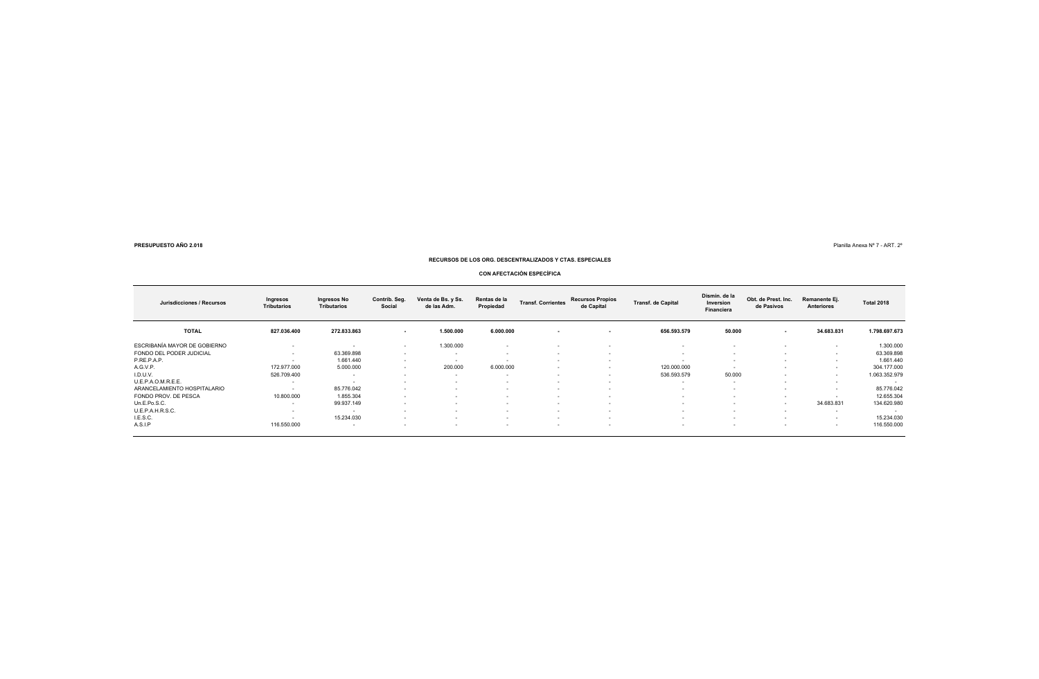8  $\blacksquare$  Planilla Anexa N° 7 - ART. 2°

### **RECURSOS DE LOS ORG. DESCENTRALIZADOS Y CTAS. ESPECIALES**

### **CON AFECTACIÓN ESPECÍFICA**

| Jurisdicciones / Recursos    | Ingresos<br><b>Tributarios</b> | Ingresos No<br><b>Tributarios</b> | Contrib. Seg.<br>Social     | Venta de Bs. y Ss.<br>de las Adm. | Rentas de la<br>Propiedad   | <b>Transf. Corrientes</b> | <b>Recursos Propios</b><br>de Capital | <b>Transf.</b> de Capital | Dismin. de la<br>Inversion<br><b>Financiera</b> | Obt. de Prest. Inc.<br>de Pasivos | Remanente Ej.<br><b>Anteriores</b> | <b>Total 2018</b>        |
|------------------------------|--------------------------------|-----------------------------------|-----------------------------|-----------------------------------|-----------------------------|---------------------------|---------------------------------------|---------------------------|-------------------------------------------------|-----------------------------------|------------------------------------|--------------------------|
| <b>TOTAL</b>                 | 827.036.400                    | 272.833.863                       | $\sim$                      | 1.500.000                         | 6.000.000                   | $\sim$                    | $\overline{\phantom{a}}$              | 656.593.579               | 50.000                                          | $\overline{\phantom{a}}$          | 34.683.831                         | 1.798.697.673            |
| ESCRIBANÍA MAYOR DE GOBIERNO | $\overline{\phantom{a}}$       | $\overline{\phantom{a}}$          | $\sim$                      | 1.300.000                         | $\overline{\phantom{a}}$    | $\overline{\phantom{a}}$  | $\overline{\phantom{a}}$              |                           | . .                                             | <b>.</b>                          | $\overline{\phantom{a}}$           | 1.300.000                |
| FONDO DEL PODER JUDICIAL     | $\overline{\phantom{a}}$       | 63.369.898                        | $\sim$                      | $\sim$                            | $\sim$                      | $\sim$                    | $\overline{\phantom{a}}$              | $\sim$                    | $\sim$                                          | $\sim$                            | $\sim$                             | 63.369.898               |
| P.RE.P.A.P.                  | $\overline{\phantom{a}}$       | 1.661.440                         |                             | $\sim$                            |                             | $\sim$                    | $\overline{\phantom{a}}$              | $\sim$                    | $\sim$                                          | $\sim$                            | $\sim$                             | 1.661.440                |
| A.G.V.P.                     | 172.977.000                    | 5.000.000                         | $\sim$                      | 200.000                           | 6.000.000                   | $\sim$                    | $\overline{\phantom{a}}$              | 120.000.000               | $\sim$                                          | $\sim$                            | $\overline{\phantom{a}}$           | 304.177.000              |
| I.D.U.V.                     | 526.709.400                    | $\overline{\phantom{a}}$          |                             | $\sim$                            | $\sim$                      | $\overline{\phantom{a}}$  | $\overline{\phantom{a}}$              | 536.593.579               | 50,000                                          | $\overline{\phantom{a}}$          | $\overline{\phantom{a}}$           | 1.063.352.979            |
| U.E.P.A.O.M.R.E.E.           | . .                            | $\overline{\phantom{a}}$          |                             | $\sim$                            | $\sim$                      | $\sim$                    | $\overline{\phantom{a}}$              | $\sim$                    | $\sim$                                          | $\sim$                            | $\overline{\phantom{a}}$           | $\overline{\phantom{a}}$ |
| ARANCELAMIENTO HOSPITALARIO  | $\overline{\phantom{a}}$       | 85.776.042                        |                             | $\sim$                            | $\sim$                      | $\sim$                    | $\overline{\phantom{a}}$              | $\sim$                    | $\sim$                                          | $\sim$                            | $\sim$                             | 85.776.042               |
| FONDO PROV. DE PESCA         | 10.800.000                     | 1.855.304                         |                             | $\sim$                            | $\sim$                      | $\sim$                    | $\overline{\phantom{a}}$              | $\sim$                    | $\sim$                                          | $\overline{\phantom{a}}$          | $\overline{\phantom{a}}$           | 12.655.304               |
| Un.E.Po.S.C.                 | $\overline{\phantom{a}}$       | 99.937.149                        | $\sim$                      | $\sim$                            | $\sim$                      | $\overline{\phantom{a}}$  | $\overline{\phantom{a}}$              | $\sim$                    |                                                 | $\overline{\phantom{a}}$          | 34.683.831                         | 134.620.980              |
| U.E.P.A.H.R.S.C.             | $\overline{\phantom{a}}$       | $\overline{\phantom{a}}$          |                             | $\sim$                            | $\sim$                      | $\sim$                    | $\overline{\phantom{a}}$              | $\sim$                    | <b><i><u>Part 1</u></i></b>                     | $\sim$                            | $\overline{\phantom{a}}$           | $\sim$                   |
| I.E.S.C.                     | $\sim$                         | 15.234.030                        | <b><i><u>Part 1</u></i></b> | $\sim$                            | <b><i><u>Part 1</u></i></b> | $\sim$                    | $\overline{\phantom{a}}$              | $\sim$                    | <b><i><u>Part 1</u></i></b>                     | $\sim$                            | $\sim$                             | 15.234.030               |
| A.S.I.P                      | 116.550.000                    | $\overline{\phantom{a}}$          | $\sim$                      | $\sim$                            | $\sim$                      | $\overline{\phantom{a}}$  | $\overline{\phantom{a}}$              | $\sim$                    | $\sim$                                          | $\sim$                            | $\sim$                             | 116.550.000              |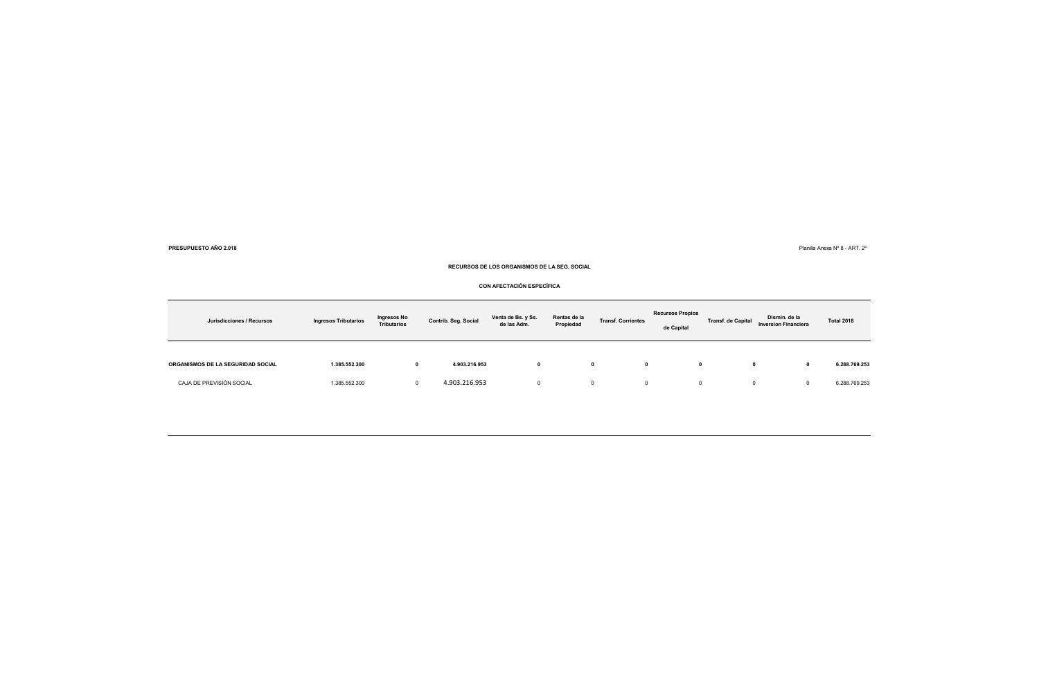**8**  $\blacksquare$  Planilla Anexa N° 8 - ART. 2 $\blacksquare$ 

**PRESUPUESTO AÑO 2.018**

**RECURSOS DE LOS ORGANISMOS DE LA SEG. SOCIAL**

**CON AFECTACIÓN ESPECÍFICA**

| Jurisdicciones / Recursos                | <b>Ingresos Tributarios</b> | Ingresos No<br><b>Tributarios</b> | Contrib. Seg. Social | Venta de Bs. y Ss.<br>de las Adm. | Rentas de la<br>Propiedad | <b>Transf. Corrientes</b> | <b>Recursos Propios</b><br>de Capital | <b>Transf.</b> de Capital | Dismin. de la<br><b>Inversion Financiera</b> | <b>Total 2018</b> |
|------------------------------------------|-----------------------------|-----------------------------------|----------------------|-----------------------------------|---------------------------|---------------------------|---------------------------------------|---------------------------|----------------------------------------------|-------------------|
| <b>ORGANISMOS DE LA SEGURIDAD SOCIAL</b> | 1.385.552.300               | 0                                 | 4.903.216.953        | 0                                 |                           | $\mathbf{0}$<br>0         | $\mathbf 0$                           | 0                         | 0                                            | 6.288.769.253     |
| CAJA DE PREVISIÓN SOCIAL                 | 1.385.552.300               |                                   | 4.903.216.953        |                                   |                           | $^{\circ}$<br>0           | $^{\circ}$                            | 0                         | 0                                            | 6.288.769.253     |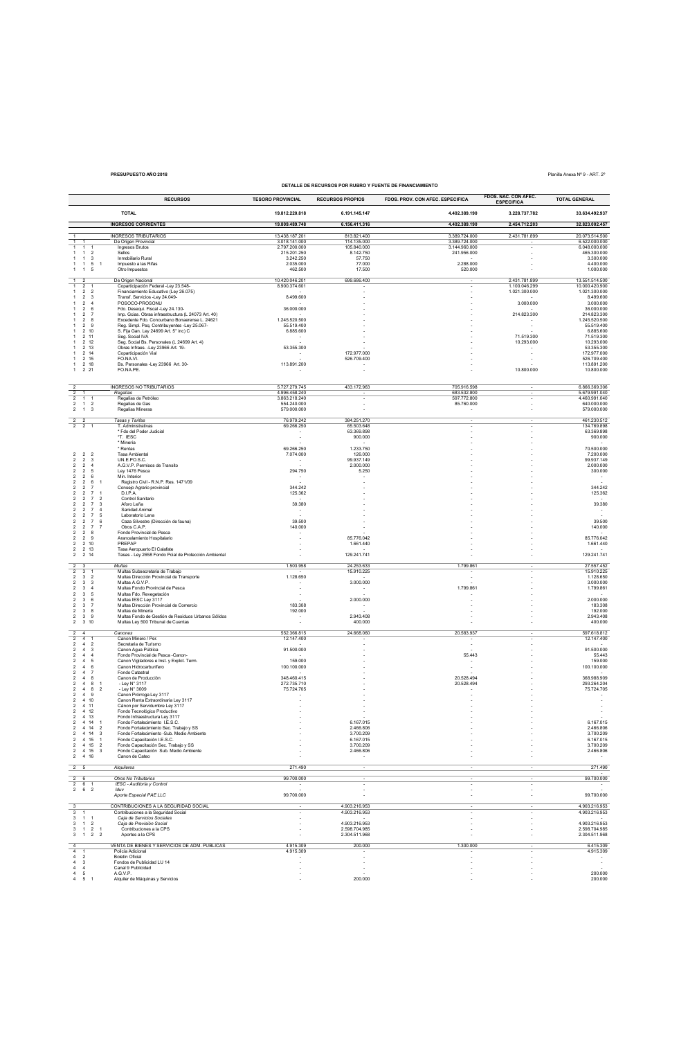## **DETALLE DE RECURSOS POR RUBRO Y FUENTE DE FINANCIAMIENTO**

**PRESUPUESTO AÑO 2018** Planilla Anexa Nº 9 - ART. 2º

|                                                                                                                   |                                  | <b>RECURSOS</b>                                                                           | <b>TESORO PROVINCIAL</b>       | <b>RECURSOS PROPIOS</b>        | FDOS. PROV. CON AFEC. ESPECIFICA | FDOS. NAC. CON AFEC.<br><b>ESPECIFICA</b> | <b>TOTAL GENERAL</b>             |
|-------------------------------------------------------------------------------------------------------------------|----------------------------------|-------------------------------------------------------------------------------------------|--------------------------------|--------------------------------|----------------------------------|-------------------------------------------|----------------------------------|
|                                                                                                                   |                                  | <b>TOTAL</b>                                                                              | 19.812.220.818                 | 6.191.145.147                  | 4.402.389.190                    | 3.228.737.782                             | 33.634.492.937                   |
|                                                                                                                   |                                  | <b>INGRESOS CORRIENTES</b>                                                                | 19.809.489.748                 | 6.156.411.316                  | 4.402.389.190                    | 2.454.712.203                             | 32.823.002.457                   |
| $\overline{1}$                                                                                                    |                                  | <b>INGRESOS TRIBUTARIOS</b>                                                               | 13.438.187.201                 | 813.821.400                    | 3.389.724.000                    | 2.431.781.899                             | 20.073.514.500                   |
| 1<br>$\overline{1}$<br>$\mathbf{1}$<br>$\mathbf{1}$                                                               |                                  | De Origen Provincial<br>Ingresos Brutos                                                   | 3.018.141.000<br>2.797.200.000 | 114.135.000<br>105.840.000     | 3.389.724.000<br>3.144.960.000   |                                           | 6.522.000.000<br>6.048.000.000   |
| $1\quad 2$<br>$\mathbf{1}$                                                                                        |                                  | Sellos                                                                                    | 215.201.250                    | 8.142.750                      | 241.956.000                      |                                           | 465.300.000                      |
| $\overline{1}$<br>$\overline{\mathbf{3}}$<br>$\overline{1}$<br>$\overline{1}$<br>5<br>$\overline{1}$              | $\overline{1}$                   | Inmobiliario Rural<br>Impuesto a las Rifas                                                | 3.242.250<br>2.035.000         | 57.750<br>77.000               | 2.288.000                        |                                           | 3.300.000<br>4.400.000           |
| $\mathbf{1}$<br>$\overline{1}$<br>5                                                                               |                                  | Otro Impuestos                                                                            | 462.500                        | 17.500                         | 520.000                          |                                           | 1.000.000                        |
| $\mathbf{1}$<br>$\overline{2}$<br>$\overline{1}$<br>$\overline{2}$                                                |                                  | De Origen Nacional                                                                        | 10.420.046.201                 | 699.686.400                    |                                  | 2.431.781.899<br>1.100.046.299            | 13.551.514.500<br>10.000.420.900 |
| $\mathbf{1}$<br>2 2                                                                                               |                                  | Coparticipación Federal -Ley 23.548-<br>Financiamiento Educativo (Ley 26.075)             | 8.900.374.601                  |                                |                                  | 1.021.300.000                             | 1.021.300.000                    |
| $\overline{2}$<br>$\overline{\mathbf{3}}$<br>$\overline{1}$<br>$\overline{\phantom{a}}$<br>$\overline{4}$         |                                  | Transf. Servicios -Ley 24.049-<br>POSOCO-PROSONU                                          | 8.499.600                      |                                |                                  | 3.000.000                                 | 8.499.600<br>3.000.000           |
| $\overline{2}$<br>6<br>$\overline{2}$<br>$\overline{7}$<br>$\overline{1}$                                         |                                  | Fdo. Desequi. Fiscal -Ley 24.130-<br>Imp. Gcias. Obras infraestructura (L 24073 Art. 40)  | 36.000.000                     |                                |                                  | 214.823.300                               | 36.000.000<br>214.823.300        |
| $\overline{2}$<br>-8                                                                                              |                                  | Excedente Fdo. Conourbano Bonaerense L. 24621                                             | 1.245.520.500                  |                                |                                  |                                           | 1.245.520.500                    |
| $\overline{2}$<br>-9<br>2, 10<br>-1                                                                               |                                  | Reg. Simpl. Peq. Contribuyentes -Ley 25.067-<br>S. Fija Gan. Ley 24699 Art. 5° inc) C     | 55.519.400<br>6.885.600        |                                |                                  |                                           | 55.519.400<br>6.885.600          |
| 2 11<br>2 12                                                                                                      |                                  | Seg. Social IVA<br>Seg. Social Bs. Personales (L 24699 Art. 4)                            |                                |                                |                                  | 71.519.300<br>10.293.000                  | 71.519.300<br>10.293.000         |
| 2 13<br>-1                                                                                                        |                                  | Obras Infraes. - Ley 23966 Art. 19-                                                       | 53.355.300                     |                                |                                  |                                           | 53.355.300                       |
| 2 14<br>2 15<br>$\overline{1}$                                                                                    |                                  | Coparticipación Vial<br>FO.NA.VI.                                                         | $\overline{\phantom{a}}$       | 172.977.000<br>526.709.400     |                                  |                                           | 172.977.000<br>526.709.400       |
| $\overline{1}$<br>2 18<br>2 2 1<br>$\mathbf{1}$                                                                   |                                  | Bs. Personales -Ley 23966 Art. 30-<br>FO.NA.PE.                                           | 113.891.200                    |                                |                                  | 10.800.000                                | 113.891.200<br>10.800.000        |
|                                                                                                                   |                                  |                                                                                           |                                |                                |                                  |                                           |                                  |
|                                                                                                                   |                                  | INGRESOS NO TRIBUTARIOS                                                                   | 5.727.279.745                  | 433.172.963                    | 705.916.598                      |                                           | 6.866.369.306                    |
| $\overline{2}$<br>$\overline{2}$<br>$\overline{1}$                                                                |                                  | Regalias<br>Regalías de Petróleo                                                          | 4.996.458.240<br>3.863.218.240 |                                | 683.532.800<br>597.772.800       |                                           | 5.679.991.040<br>4.460.991.040   |
| $\overline{c}$<br>$\overline{1}$<br>$\overline{2}$                                                                |                                  | Regalías de Gas                                                                           | 554.240.000                    |                                | 85.760.000                       |                                           | 640.000.000                      |
| $\overline{2}$<br>$\overline{1}$<br>3                                                                             |                                  | Regalías Mineras                                                                          | 579.000.000                    | $\sim$                         | $\overline{\phantom{a}}$         |                                           | 579.000.000                      |
| $\overline{2}$<br>$\overline{\mathbf{2}}$<br>$\overline{2}$<br>$\overline{a}$                                     |                                  | Tasas y Tarifas<br>T. Administrativas                                                     | 76.979.242<br>69.266.250       | 384.251.270<br>65.503.648      |                                  |                                           | 461.230.512<br>134.769.898       |
|                                                                                                                   |                                  | * Fdo del Poder Judicial                                                                  | $\overline{\phantom{a}}$       | 63.369.898                     |                                  |                                           | 63.369.898                       |
|                                                                                                                   |                                  | *T. IESC<br>* Minería                                                                     | ٠                              | 900.000                        |                                  |                                           | 900.000                          |
| $\overline{2}$<br>$\overline{2}$<br>$\overline{2}$                                                                |                                  | * Rentas<br>Tasa Ambiental                                                                | 69.266.250<br>7.074.000        | 1.233.750<br>126,000           |                                  |                                           | 70.500.000<br>7.200.000          |
| $\overline{2}$<br>$\overline{c}$<br>$\overline{\mathbf{3}}$                                                       |                                  | UN.E.PO.S.C.                                                                              |                                | 99.937.149                     |                                  |                                           | 99.937.149                       |
| $\overline{2}$<br>$\overline{4}$<br>$\overline{c}$<br>$\overline{2}$<br>$\overline{2}$<br>5                       |                                  | A.G.V.P. Permisos de Transito<br>Lev 1476 Pesca                                           | 294.750                        | 2.000.000<br>5.250             |                                  |                                           | 2.000.000<br>300.000             |
| $\overline{\mathbf{c}}$<br>$\overline{2}$<br>6<br>$\overline{2}$<br>$\overline{\mathbf{c}}$<br>6                  | 1                                | Min. Interior<br>Registro Civil - R.N.P. Res. 1471/09                                     |                                |                                |                                  |                                           |                                  |
| 2<br>$\overline{2}$<br>$\overline{7}$                                                                             |                                  | Consejo Agrario provincial                                                                | 344 242                        |                                |                                  |                                           | 344.242                          |
| $\overline{\mathbf{c}}$<br>$\overline{2}$<br>$\overline{7}$<br>2 <sub>7</sub><br>$\overline{2}$                   | $\overline{1}$<br>$\overline{2}$ | D.I.P.A.<br>Control Sanitario                                                             | 125.362                        |                                |                                  |                                           | 125.362                          |
| $\overline{2}$<br>$\overline{2}$<br>$\overline{7}$<br>$\overline{\mathbf{c}}$<br>$\overline{2}$<br>$\overline{7}$ | $\mathbf{3}$<br>$\overline{4}$   | Aforo Leña<br>Sanidad Animal                                                              | 39,380                         |                                |                                  |                                           | 39.380                           |
| 2 7<br>$\overline{2}$                                                                                             | 5                                | Laboratorio Lana                                                                          |                                |                                |                                  |                                           |                                  |
| $\overline{2}$<br>2<br>$\overline{7}$<br>$\overline{\mathbf{c}}$<br>$\overline{c}$<br>$\overline{7}$              | 6<br>7                           | Caza Silvestre (Dirección de fauna)<br>Otros C.A.P.                                       | 39.500<br>140.000              |                                |                                  |                                           | 39.500<br>140.000                |
| 28<br>$\overline{2}$                                                                                              |                                  | Fondo Provincial de Pesca                                                                 | $\overline{\phantom{a}}$       |                                |                                  |                                           |                                  |
| $\overline{\mathbf{c}}$<br>$\overline{2}$<br>- 9<br>2 10<br>$\overline{c}$                                        |                                  | Arancelamiento Hospitalario<br>PREPAP                                                     |                                | 85.776.042<br>1.661.440        |                                  |                                           | 85.776.042<br>1.661.440          |
| 2 13<br>$\overline{2}$<br>$\overline{c}$<br>2 14                                                                  |                                  | Tasa Aeropuerto El Calafate<br>Tasas - Ley 2658 Fondo Pcial de Protección Ambiental       |                                | 129.241.741                    | ٠                                |                                           | 129.241.741                      |
| $\overline{2}$<br>-3                                                                                              |                                  | Multas                                                                                    | 1.503.958                      | 24.253.633                     | 1.799.861                        |                                           | 27.557.452                       |
| $\overline{c}$<br>3<br>$\overline{1}$                                                                             |                                  | Multas Subsecretaria de Trabajo                                                           |                                | 15.910.225                     |                                  |                                           | 15.910.225                       |
| $\overline{2}$<br>$\overline{\mathbf{3}}$<br>$\overline{2}$<br>$\overline{\mathbf{3}}$<br>2<br>3                  |                                  | Multas Dirección Provincial de Transporte<br>Multas A.G.V.P.                              | 1.128.650<br>٠                 | 3.000.000                      | ×                                |                                           | 1.128.650<br>3.000.000           |
| $\overline{\mathbf{c}}$<br>3<br>$\overline{4}$<br>5<br>3<br>$\overline{2}$                                        |                                  | Multas Fondo Provincial de Pesca<br>Multas Fdo. Revegetación                              | ٠                              | $\sim$                         | 1.799.861                        |                                           | 1.799.861                        |
| $\overline{2}$<br>3<br>- 6                                                                                        |                                  | Multas IESC Ley 3117                                                                      |                                | 2.000.000                      |                                  |                                           | 2.000.000                        |
| $\overline{c}$<br>3<br>$\overline{7}$<br>$\overline{2}$<br>3<br>- 8                                               |                                  | Multas Dirección Provincial de Comercio<br>Multas de Minería                              | 183.308<br>192.000             |                                |                                  |                                           | 183.308<br>192.000               |
| $\overline{c}$<br>3<br>- 9<br>$\overline{c}$<br>$3 \t10$                                                          |                                  | Multas Fondo de Gestión de Residuos Urbanos Sólidos<br>Multas Ley 500 Tribunal de Cuentas | $\overline{\phantom{a}}$       | 2.943.408<br>400.000           | ×                                |                                           | 2.943.408<br>400.000             |
|                                                                                                                   |                                  |                                                                                           |                                |                                |                                  |                                           |                                  |
| $\overline{2}$<br>$\overline{4}$<br>$\overline{2}$<br>$\overline{4}$                                              |                                  | Canones<br>Canon Minero / Per.                                                            | 552.366.815<br>12.147.400      | 24.668.060                     | 20.583.937                       |                                           | 597.618.812<br>12.147.400        |
| $\overline{c}$<br>$\overline{4}$<br>$\overline{2}$<br>$\overline{c}$<br>$\overline{4}$<br>3                       |                                  | Secretaria de Turismo<br>Canon Agua Pública                                               | 91.500.000                     |                                |                                  |                                           | 91.500.000                       |
| $\overline{4}$<br>$\overline{2}$<br>$\overline{4}$                                                                |                                  | Fondo Provincial de Pesca -Canon-                                                         |                                |                                | 55.443                           |                                           | 55.443                           |
| $\overline{4}$<br>5<br>$\overline{2}$<br>$\sqrt{4}$<br>$\overline{c}$<br>6                                        |                                  | Canon Vigiladores e Inst. y Explot. Term.<br>Canon Hidrocarburífero                       | 159.000<br>100.100.000         |                                |                                  |                                           | 159.000<br>100.100.000           |
| $\overline{4}$<br>$\overline{2}$<br>$\overline{7}$                                                                |                                  | Fondo Catastral                                                                           |                                |                                |                                  |                                           |                                  |
| $\overline{c}$<br>48<br>$\overline{c}$<br>$\overline{4}$<br>8                                                     | 1                                | Canon de Producción<br>- Ley N° 3117                                                      | 348.460.415<br>272.735.710     |                                | 20.528.494<br>20.528.494         |                                           | 368.988.909<br>293.264.204       |
| $\overline{\mathbf{c}}$<br>48<br>$\overline{c}$<br>4 9                                                            | $\overline{2}$                   | - Ley N° 3009<br>Canon Prórroga Ley 3117                                                  | 75.724.705                     |                                |                                  |                                           | 75.724.705                       |
| $\overline{2}$<br>4 10<br>$\overline{2}$<br>4 11                                                                  |                                  | Canon Renta Extraordinaria Ley 3117                                                       |                                |                                |                                  |                                           | $\sim$                           |
| $\overline{a}$<br>4 12                                                                                            |                                  | Cánon por Servidumbre Ley 3117<br>Fondo Tecnológico Productivo                            |                                |                                |                                  |                                           | ÷.                               |
| $\overline{2}$<br>4 13<br>$\overline{c}$<br>4 14                                                                  | $\overline{1}$                   | Fondo Infraestructura Lev 3117<br>Fondo Fortalecimiento I.E.S.C.                          |                                | 6.167.015                      |                                  |                                           | 6.167.015                        |
| 4 14 2<br>$\overline{c}$<br>$4 \t14$<br>$\overline{2}$                                                            | $\overline{\mathbf{3}}$          | Fondo Fortalecimiento Sec. Trabajo y SS<br>Fondo Fortalecimiento -Sub. Medio Ambiente     |                                | 2.466.806<br>3.700.209         |                                  |                                           | 2.466.806                        |
| 4 15<br>$\overline{2}$                                                                                            | $\overline{1}$                   | Fondo Capacitación I.E.S.C.                                                               |                                | 6.167.015                      |                                  |                                           | 3.700.209<br>6.167.015           |
| 4 15 2<br>$\overline{c}$<br>2 4 15 3                                                                              |                                  | Fondo Capacitación Sec. Trabajo y SS<br>Fondo Capacitación Sub. Medio Ambiente            |                                | 3.700.209<br>2.466.806         |                                  |                                           | 3.700.209<br>2.466.806           |
| $\overline{a}$<br>4 16                                                                                            |                                  | Canon de Cateo                                                                            |                                |                                |                                  |                                           |                                  |
| 2 <sub>5</sub>                                                                                                    |                                  | Alquileres                                                                                | 271.490                        |                                |                                  |                                           | 271.490                          |
|                                                                                                                   |                                  | Otros No Tributarios                                                                      | 99.700.000                     |                                |                                  |                                           | 99.700.000                       |
| $\begin{array}{c c c c c c c c c}2&6&1\\2&6&2\\2&6&2\end{array}$                                                  |                                  | IESC - Auditoría y Control<br>lduv                                                        | ÷                              |                                |                                  |                                           | $\sim$                           |
|                                                                                                                   |                                  | Aporte Especial PAE LLC                                                                   | 99.700.000                     |                                |                                  |                                           | 99.700.000                       |
| 3                                                                                                                 |                                  | CONTRIBUCIONES A LA SEGURIDAD SOCIAL                                                      |                                | 4.903.216.953                  |                                  |                                           | 4.903.216.953                    |
| $\overline{\mathbf{3}}$<br>$\overline{1}$<br>$3 \quad 1 \quad 1$                                                  |                                  | Contribuciones a la Seguridad Social<br>Caja de Servicios Sociales                        |                                | 4.903.216.953                  |                                  |                                           | 4.903.216.953                    |
| $\mathbf{3}$<br>$1\quad 2$                                                                                        |                                  | Caja de Previsión Social                                                                  |                                | 4.903.216.953                  |                                  |                                           | 4.903.216.953<br>2.598.704.985   |
| $\mathbf{3}$<br>$1 \quad 2 \quad 1$<br>$1 \quad 2 \quad 2$<br>$\mathbf{3}$                                        |                                  | Contribuciones a la CPS<br>Aportes a la CPS                                               |                                | 2.598.704.985<br>2.304.511.968 |                                  |                                           | 2.304.511.968                    |
| $\overline{4}$                                                                                                    |                                  | VENTA DE BIENES Y SERVICIOS DE ADM. PUBLICAS                                              | 4.915.309                      | 200.000                        | 1.300.000                        |                                           | 6.415.309                        |
| $\overline{4}$<br>$\overline{1}$<br>$\overline{2}$                                                                |                                  | Policía Adicional<br>Boletín Oficial                                                      | 4.915.309                      |                                |                                  |                                           | 4.915.309                        |
| $\begin{smallmatrix} 4\\4 \end{smallmatrix}$<br>3                                                                 |                                  | Fondos de Publicidad LU 14                                                                |                                | ٠                              |                                  |                                           | $\overline{\phantom{a}}$         |
| $\sqrt{4}$<br>$\overline{4}$<br>$\overline{4}$<br>$\sqrt{5}$                                                      |                                  | Canal 9 Publicidad<br>A.G.V.P.                                                            |                                |                                |                                  |                                           | 200.000                          |
| 4<br>5<br>$\overline{1}$                                                                                          |                                  | Alquiler de Máquinas y Servicios                                                          |                                | 200.000                        |                                  |                                           | 200.000                          |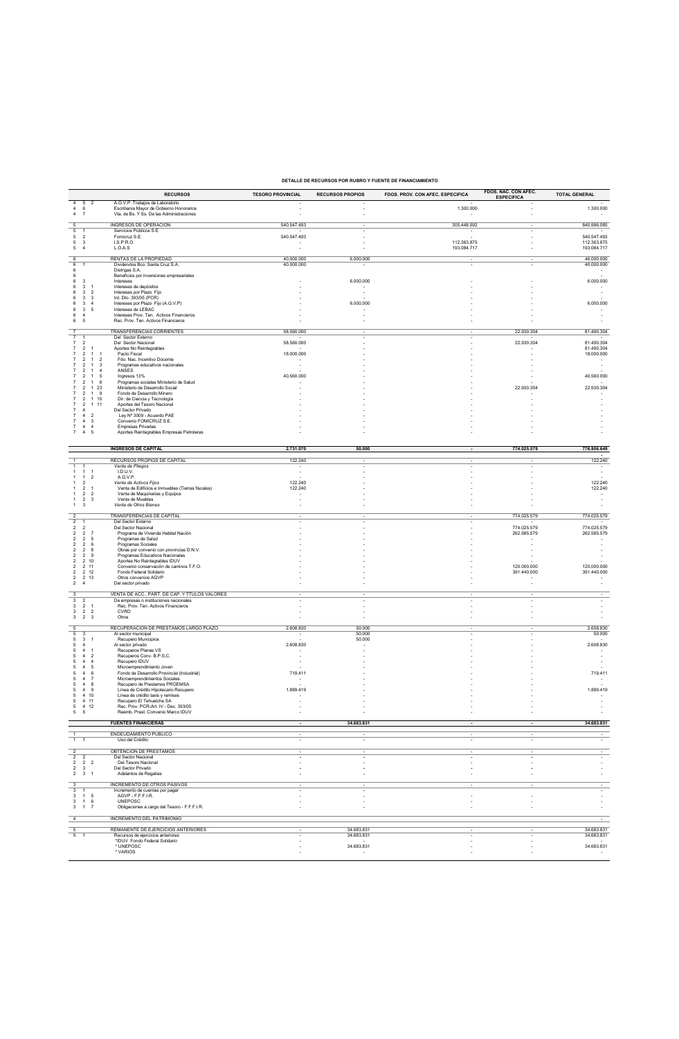## **DETALLE DE RECURSOS POR RUBRO Y FUENTE DE FINANCIAMIENTO**

|                                                                                        |                                           |                                           | <b>RECURSOS</b>                                                               | <b>TESORO PROVINCIAL</b> | <b>RECURSOS PROPIOS</b>  | FDOS. PROV. CON AFEC. ESPECIFICA | FDOS. NAC. CON AFEC.<br><b>ESPECIFICA</b> | <b>TOTAL GENERAL</b>                                 |
|----------------------------------------------------------------------------------------|-------------------------------------------|-------------------------------------------|-------------------------------------------------------------------------------|--------------------------|--------------------------|----------------------------------|-------------------------------------------|------------------------------------------------------|
| 5<br>4<br>$\overline{4}$<br>6                                                          | $\overline{2}$                            |                                           | A.G.V.P. Trabajos de Laboratorio<br>Escribanía Mayor de Gobierno Honorarios   |                          |                          | 1.300.000                        |                                           | 1.300.000                                            |
| $\overline{4}$<br>$\overline{7}$                                                       |                                           |                                           | Vta. de Bs. Y Ss. De las Administraciones                                     |                          |                          | $\overline{\phantom{a}}$         |                                           |                                                      |
| 5                                                                                      |                                           |                                           | INGRESOS DE OPERACIÓN                                                         | 540.547.493              |                          | 305.448.592                      |                                           | 845.996.085                                          |
| $\overline{5}$<br>-1<br>5<br>$\overline{2}$                                            |                                           |                                           | Servicios Públicos S.E<br>Fomicruz S.E.                                       | 540.547.493              |                          | $\overline{\phantom{a}}$         |                                           | 540.547.493                                          |
| 5<br>3<br>5<br>$\overline{4}$                                                          |                                           |                                           | LS.P.R.O<br>L.O.A.S                                                           | ٠                        |                          | 112.363.875<br>193.084.717       |                                           | 112.363.875<br>193.084.717                           |
| 6                                                                                      |                                           |                                           | RENTAS DE LA PROPIEDAD                                                        | 40.000.000               | 6.000.000                |                                  | ٠                                         | 46.000.000                                           |
| 6<br>$\overline{1}$                                                                    |                                           |                                           | Dividendos Bco. Santa Cruz S.A.                                               | 40.000.000               |                          | ×                                |                                           | 40.000.000                                           |
| 6<br>6                                                                                 |                                           |                                           | Distrigas S.A.<br>Beneficios por inversiones empresariales                    |                          |                          |                                  |                                           |                                                      |
| 3<br>6<br>6<br>3                                                                       | $\overline{1}$                            |                                           | Intereses<br>Intereses de depósitos                                           |                          | 6.000.000                |                                  |                                           | 6.000.000                                            |
| $\mathbf{3}$<br>6<br>6<br>3                                                            | $\overline{2}$<br>- 3                     |                                           | Intereses por Plazo Fijo<br>Int. Dto. 393/05 (PCR)                            |                          |                          |                                  |                                           |                                                      |
| 6<br>3                                                                                 | $\overline{4}$                            |                                           | Intereses por Plazo Fijo (A.G.V.P)                                            |                          | 6.000.000                |                                  |                                           | 6.000.000                                            |
| 3<br>6<br>6<br>$\overline{4}$                                                          | 5                                         |                                           | Intereses de LEBAC<br>Intereses Prov. Ten. Activos Financieros                |                          |                          |                                  |                                           |                                                      |
| 6<br>5                                                                                 |                                           |                                           | Rec. Prov. Ten. Activos Financieros                                           |                          |                          |                                  |                                           |                                                      |
| $\overline{7}$<br>$\overline{7}$                                                       |                                           |                                           | TRANSFERENCIAS CORRIENTES<br>Del Sector Externo                               | 58.560.000               |                          |                                  | 22.930.304                                | 81.490.304                                           |
| $\overline{7}$<br>$\overline{2}$                                                       | $\mathbf{1}$                              |                                           | Del Sector Nacional                                                           | 58.560.000               |                          |                                  | 22.930.304                                | 81.490.304<br>81.490.304                             |
| 7<br>$\overline{2}$<br>$\overline{2}$<br>$\overline{7}$                                | -1                                        | -1                                        | Aportes No Reintegrables<br>Pacto Fiscal                                      | 18.000.000               |                          |                                  |                                           | 18.000.000                                           |
| $\overline{7}$<br>$\overline{2}$<br>$\overline{2}$                                     | $\overline{1}$<br>$\mathbf{1}$            | $\overline{2}$<br>$\overline{\mathbf{3}}$ | Fdo. Nac. Incentivo Docente<br>Programas educativos nacionales                |                          |                          |                                  |                                           |                                                      |
| $\overline{2}$<br>$\overline{7}$<br>$\overline{\phantom{a}}$                           | -1<br>1                                   | $\overline{4}$<br>-5                      | ANSES<br>Ingresos 13%                                                         | 40.560.000               |                          |                                  |                                           | 40.560.000                                           |
| $\overline{2}$                                                                         | 1                                         | 6                                         | Programas sociales Ministerio de Salud                                        |                          |                          |                                  |                                           |                                                      |
| $\overline{2}$<br>7<br>$\overline{2}$<br>$\overline{7}$                                | -1<br>$\mathbf{1}$                        | 23<br>- 9                                 | Ministerio de Desarrollo Social<br>Fondo de Desarrollo Minero                 |                          |                          |                                  | 22.930.304                                | 22.930.304                                           |
| $\overline{7}$<br>$\overline{2}$<br>$\overline{7}$<br>$\overline{2}$                   | 110<br>111                                |                                           | Dir. de Ciencia y Tecnología<br>Aportes del Tesoro Nacional                   |                          |                          |                                  |                                           |                                                      |
| $\overline{4}$                                                                         |                                           |                                           | Del Sector Privado                                                            |                          |                          |                                  |                                           |                                                      |
| $\overline{4}$<br>$\overline{4}$                                                       | $\overline{2}$<br>3                       |                                           | Lev Nº 3009 - Acuerdo PAE<br>Convenio FOMICRUZ S.E.                           |                          |                          |                                  |                                           |                                                      |
| $\overline{4}$<br>$\overline{4}$<br>7                                                  | $\overline{4}$<br>5                       |                                           | Empresas Privadas<br>Aportes Reintegrables Empresas Petroleras                |                          |                          |                                  |                                           |                                                      |
|                                                                                        |                                           |                                           |                                                                               |                          |                          |                                  |                                           |                                                      |
|                                                                                        |                                           |                                           | <b>INGRESOS DE CAPITAL</b>                                                    | 2.731.070                | 50.000                   |                                  | 774.025.579                               | 776.806.649                                          |
|                                                                                        |                                           |                                           | RECURSOS PROPIOS DE CAPITAL                                                   | 122.240                  |                          |                                  |                                           | 122.240                                              |
| $\overline{1}$<br>$\overline{1}$                                                       | $\overline{1}$                            |                                           | Venta de Pliegos<br>I.D.U.V.                                                  |                          |                          |                                  |                                           |                                                      |
| $\mathbf{1}$<br>-1                                                                     | $\overline{c}$                            |                                           | A.G.V.P.                                                                      |                          |                          |                                  |                                           |                                                      |
| $\mathbf{1}$<br>$\overline{\phantom{a}}$<br>$\overline{2}$<br>$\mathbf{1}$             | $\overline{1}$                            |                                           | Venta de Activos Fijos<br>Venta de Edificios e Inmuebles (Tierras fiscales)   | 122.240<br>122.240       |                          |                                  |                                           | 122.240<br>122.240                                   |
| $\overline{2}$<br>1<br>$\overline{2}$<br>-1                                            | $\overline{2}$<br>3                       |                                           | Venta de Maquinarias y Equipos<br>Venta de Muebles                            |                          |                          |                                  |                                           | $\overline{\phantom{a}}$                             |
| $\mathbf{3}$<br>$\mathbf{1}$                                                           |                                           |                                           | Venta de Otros Bienes                                                         |                          |                          |                                  |                                           |                                                      |
| $\overline{2}$                                                                         |                                           |                                           | TRANSFERENCIAS DE CAPITAL                                                     |                          |                          |                                  | 774.025.579                               | 774.025.579                                          |
| $\overline{2}$<br>$\mathbf{1}$<br>$\overline{2}$<br>$\overline{2}$                     |                                           |                                           | Del Sector Externo<br>Del Sector Nacional                                     |                          |                          |                                  | 774.025.579                               | 774.025.579                                          |
| $\overline{\mathbf{c}}$<br>$\overline{2}$<br>$\overline{2}$<br>$\overline{\mathbf{c}}$ | $\overline{7}$<br>5                       |                                           | Programa de Vivienda Habitat Nación<br>Programas de Salud                     |                          |                          |                                  | 262.585.579                               | 262.585.579                                          |
| $\overline{2}$<br>2                                                                    | 6                                         |                                           | Programas Sociales                                                            |                          |                          |                                  |                                           |                                                      |
| 2<br>$\overline{2}$<br>$\overline{2}$<br>$\overline{2}$                                | 8<br>-9                                   |                                           | Obras por convenio con provincias D.N.V.<br>Programas Educativos Nacionales   |                          |                          |                                  |                                           |                                                      |
| 2<br>$\overline{\mathbf{c}}$                                                           | 2 10<br>2 11                              |                                           | Aportes No Reintegrables IDUV<br>Convenio conservación de caminos T.F.O.      |                          |                          |                                  | 120.000.000                               | 120.000.000                                          |
| $\overline{2}$                                                                         | 2 12                                      |                                           | Fondo Federal Solidario                                                       |                          |                          |                                  | 391.440.000                               | 391.440.000                                          |
| $\overline{\mathbf{c}}$<br>$\overline{2}$<br>$\overline{4}$                            | 2 13                                      |                                           | Otros convenios AGVP<br>Del sector privado                                    |                          |                          |                                  |                                           |                                                      |
| $\overline{\mathbf{3}}$                                                                |                                           |                                           | VENTA DE ACC., PART. DE CAP. Y TTULOS VALORES                                 |                          |                          |                                  |                                           |                                                      |
| $\overline{\mathbf{3}}$<br>$\overline{\mathbf{c}}$<br>$\mathbf{3}$<br>$\overline{2}$   | $\overline{1}$                            |                                           | De empresas o instituciones nacionales<br>Rec. Prov. Ten. Activos Financieros |                          |                          |                                  |                                           |                                                      |
| 3<br>$\overline{2}$<br>3<br>$\overline{2}$                                             | $\overline{2}$<br>$\overline{\mathbf{3}}$ |                                           | CVRD<br>Otros                                                                 |                          |                          |                                  |                                           |                                                      |
|                                                                                        |                                           |                                           |                                                                               |                          |                          |                                  |                                           |                                                      |
| 5<br>5<br>3                                                                            |                                           |                                           | RECUPERACIÓN DE PRESTAMOS LARGO PLAZO<br>Al sector municipal                  | 2.608.830                | 50.000<br>50.000         |                                  |                                           | 2.658.830<br>50.000                                  |
| 5<br>3<br>5<br>$\overline{4}$                                                          | $\overline{1}$                            |                                           | Recupero Municipios<br>Al sector privado                                      | 2.608.830                | 50.000                   |                                  |                                           | 2.608.830                                            |
| $\overline{4}$<br>5                                                                    | $\mathbf{1}$                              |                                           | Recuperos Planes VS                                                           |                          |                          |                                  |                                           | $\sim$                                               |
| 5<br>$\overline{4}$<br>$\overline{4}$<br>5                                             | $\overline{2}$<br>$\overline{4}$          |                                           | Recuperos Conv. B.P.S.C.<br>Recupero IDUV                                     |                          |                          |                                  |                                           | ٠                                                    |
| $\overline{4}$<br>5<br>$\overline{4}$<br>5                                             | 5<br>6                                    |                                           | Microemprendimiento Joven<br>Fondo de Desarrollo Provincial (Industrial)      | 719.411                  |                          |                                  |                                           | 719.411                                              |
| 5<br>$\overline{4}$<br>$\overline{4}$                                                  | $\overline{7}$<br>8                       |                                           | Microemprendimientos Sociales                                                 |                          |                          |                                  |                                           |                                                      |
| 5<br>$5\quad 4\quad 9$                                                                 |                                           |                                           | Recupero de Prestamos PROEMSA<br>Línea de Crédito Hipotecario Recupero        | 1.889.419                |                          |                                  |                                           | 1.889.419                                            |
| $5 \qquad 4 \quad 10$<br>$5$ 4 11                                                      |                                           |                                           | Línea de crédito taxis y remises<br>Recupero El Tehuelche SA                  |                          |                          |                                  |                                           |                                                      |
| $5 \qquad 4 \quad 12$<br>5 <sub>5</sub>                                                |                                           |                                           | Rec. Prov. PCR-Art. IV - Dec. 393/05<br>Reemb. Prest. Convenio Marco IDUV     |                          |                          |                                  |                                           | $\overline{\phantom{a}}$<br>$\overline{\phantom{a}}$ |
|                                                                                        |                                           |                                           |                                                                               |                          |                          |                                  |                                           |                                                      |
|                                                                                        |                                           |                                           | <b>FUENTES FINANCIERAS</b>                                                    |                          | 34.683.831               |                                  |                                           | 34.683.831                                           |
| $\frac{1}{\sqrt{1}}$                                                                   |                                           |                                           | ENDEUDAMIENTO PÚBLICO<br>Uso del Crédito                                      |                          |                          |                                  |                                           |                                                      |
|                                                                                        |                                           |                                           | OBTENCIÓN DE PRÉSTAMOS                                                        |                          |                          |                                  |                                           |                                                      |
| $\frac{2}{2}$<br>$\overline{\mathbf{c}}$                                               |                                           |                                           | Del Sector Nacional                                                           | ٠                        | ٠                        | ٠                                | ٠<br>٠                                    | ٠                                                    |
| $2 \quad 2 \quad 2$<br>$2 \quad 3$                                                     |                                           |                                           | Del Tesoro Nacional<br>Del Sector Privado                                     |                          | ×,                       | ٠<br>Ĭ.                          | ٠                                         | ٠                                                    |
| $2 \quad 3 \quad 1$                                                                    |                                           |                                           | Adelantos de Regalías                                                         |                          |                          |                                  |                                           |                                                      |
| $\frac{3}{3}$                                                                          |                                           |                                           | <b>INCREMENTO DE OTROS PASIVOS</b>                                            |                          |                          | ٠                                | $\overline{\phantom{a}}$                  |                                                      |
| $\overline{1}$<br>$3 \qquad 1 \qquad 5$                                                |                                           |                                           | Incremento de cuentas por pagar<br>AGVP - F.F.F.I.R.                          |                          |                          |                                  |                                           |                                                      |
| $3 \quad 1 \quad 6$<br>$3 \quad 1 \quad 7$                                             |                                           |                                           | <b>UNEPOSC</b><br>Obligaciones a cargo del Tesoro - F.F.F.I.R.                |                          |                          |                                  |                                           |                                                      |
| $\overline{4}$                                                                         |                                           |                                           | <b>INCREMENTO DEL PATRIMONIO</b>                                              |                          |                          |                                  |                                           |                                                      |
|                                                                                        |                                           |                                           |                                                                               |                          |                          |                                  |                                           |                                                      |
| 5<br>5<br>$\overline{1}$                                                               |                                           |                                           | REMANENTE DE EJERCICIOS ANTERIORES<br>Recursos de ejercicios anteriores       |                          | 34.683.831<br>34.683.831 |                                  |                                           | 34.683.831<br>34.683.831                             |
|                                                                                        |                                           |                                           | *IDUV Fondo Federal Solidario<br>* UNEPOSC                                    |                          | 34.683.831               |                                  |                                           | 34.683.831                                           |
|                                                                                        |                                           |                                           | * VARIOS                                                                      |                          |                          |                                  |                                           |                                                      |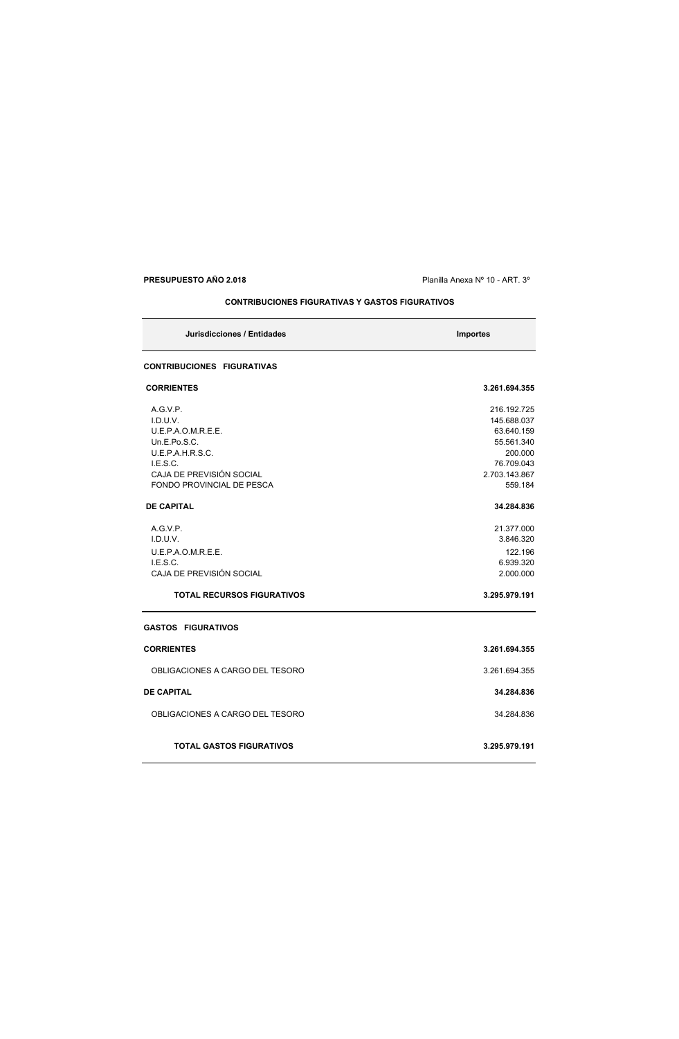**PRESUPUESTO AÑO 2.018 PRESUPUESTO AÑO 2.018 Planilla Anexa N° 10 - ART. 3°** 

**CONTRIBUCIONES FIGURATIVAS Y GASTOS FIGURATIVOS**

| Jurisdicciones / Entidades        | <b>Importes</b> |
|-----------------------------------|-----------------|
| <b>CONTRIBUCIONES FIGURATIVAS</b> |                 |
| <b>CORRIENTES</b>                 | 3.261.694.355   |
| A.G.V.P.                          | 216.192.725     |
| I.D.U.V.                          | 145.688.037     |
| U.E.P.A.O.M.R.E.E.                | 63.640.159      |
| Un.E.Po.S.C.                      | 55.561.340      |
| U.E.P.A.H.R.S.C.                  | 200.000         |
| LE.S.C.                           | 76.709.043      |
| CAJA DE PREVISIÓN SOCIAL          | 2.703.143.867   |
| <b>FONDO PROVINCIAL DE PESCA</b>  | 559.184         |
| <b>DE CAPITAL</b>                 | 34.284.836      |
| A.G.V.P.                          | 21.377.000      |
| I.D.U.V.                          | 3.846.320       |
| U.E.P.A.O.M.R.E.E.                | 122.196         |
| I.E.S.C.                          | 6.939.320       |
| CAJA DE PREVISIÓN SOCIAL          | 2.000.000       |
| <b>TOTAL RECURSOS FIGURATIVOS</b> | 3.295.979.191   |
| <b>GASTOS FIGURATIVOS</b>         |                 |
| <b>CORRIENTES</b>                 | 3.261.694.355   |
| OBLIGACIONES A CARGO DEL TESORO   | 3.261.694.355   |
| <b>DE CAPITAL</b>                 | 34.284.836      |
| OBLIGACIONES A CARGO DEL TESORO   | 34.284.836      |
| <b>TOTAL GASTOS FIGURATIVOS</b>   | 3.295.979.191   |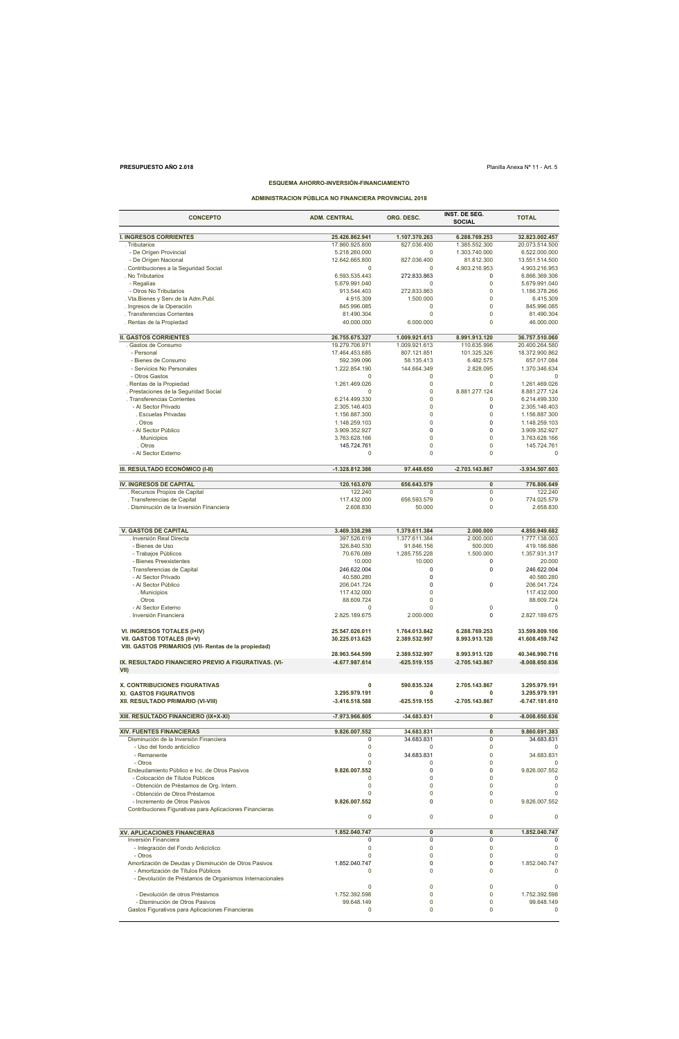## **PRESUPUESTO AÑO 2.018** Planilla Anexa Nº 11 - Art. 5

## **ESQUEMA AHORRO-INVERSIÓN-FINANCIAMIENTO**

**ADMINISTRACION PÚBLICA NO FINANCIERA PROVINCIAL 2018**

| <b>CONCEPTO</b>                                          | <b>ADM. CENTRAL</b>              | ORG. DESC.              | <b>INST. DE SEG.</b><br><b>SOCIAL</b> | <b>TOTAL</b>                   |
|----------------------------------------------------------|----------------------------------|-------------------------|---------------------------------------|--------------------------------|
| <b>I. INGRESOS CORRIENTES</b>                            | 25.426.862.941                   | 1.107.370.263           | 6.288.769.253                         | 32.823.002.457                 |
| . Tributarios                                            | 17.860.925.800                   | 827.036.400             | 1.385.552.300                         | 20.073.514.500                 |
| - De Orígen Provincial                                   | 5.218.260.000                    | $\Omega$                | 1.303.740.000                         | 6.522.000.000                  |
| - De Orígen Nacional                                     | 12.642.665.800                   | 827.036.400             | 81.812.300                            | 13.551.514.500                 |
| . Contribuciones a la Seguridad Social                   | $\Omega$                         | $\Omega$                | 4.903.216.953                         | 4.903.216.953                  |
| . No Tributarios                                         | 6.593.535.443                    | 272.833.863             | 0                                     | 6.866.369.306                  |
| - Regalías                                               | 5.679.991.040                    | $\Omega$                | 0                                     | 5.679.991.040                  |
| - Otros No Tributarios                                   | 913.544.403                      | 272.833.863             | 0                                     | 1.186.378.266                  |
| . Vta.Bienes y Serv.de la Adm.Publ.                      | 4.915.309                        | 1.500.000               | 0                                     | 6.415.309                      |
| . Ingresos de la Operación                               | 845.996.085                      | 0                       | 0                                     | 845.996.085                    |
| . Transferencias Corrientes                              | 81.490.304                       | 0                       | $\mathbf 0$                           | 81.490.304                     |
| . Rentas de la Propiedad                                 | 40.000.000                       | 6.000.000               | 0                                     | 46.000.000                     |
|                                                          |                                  |                         |                                       |                                |
| <b>II. GASTOS CORRIENTES</b>                             | 26.755.675.327                   | 1.009.921.613           | 8.991.913.120                         | 36.757.510.060                 |
| Gastos de Consumo                                        | 19.279.706.971                   | 1.009.921.613           | 110.635.996                           | 20.400.264.580                 |
| - Personal                                               | 17.464.453.685                   | 807.121.851             | 101.325.326                           | 18.372.900.862                 |
| - Bienes de Consumo                                      | 592.399.096                      | 58.135.413              | 6.482.575                             | 657.017.084                    |
| - Servicios No Personales<br>- Otros Gastos              | 1.222.854.190<br>$\Omega$        | 144.664.349<br>0        | 2.828.095<br>0                        | 1.370.346.634<br>$\Omega$      |
| . Rentas de la Propiedad                                 | 1.261.469.026                    | 0                       | 0                                     | 1.261.469.026                  |
| . Prestaciones de la Seguridad Social                    |                                  | 0                       | 8.881.277.124                         | 8.881.277.124                  |
| . Transferencias Corrientes                              | 6.214.499.330                    | $\mathbf 0$             | 0                                     | 6.214.499.330                  |
| - Al Sector Privado                                      | 2.305.146.403                    | 0                       | 0                                     | 2.305.146.403                  |
| . Escuelas Privadas                                      | 1.156.887.300                    | 0                       | 0                                     | 1.156.887.300                  |
| . Otros                                                  | 1.148.259.103                    | $\mathbf 0$             | $\mathbf 0$                           | 1.148.259.103                  |
| - Al Sector Público                                      | 3.909.352.927                    | $\mathbf 0$             | 0                                     | 3.909.352.927                  |
| . Municipios                                             | 3.763.628.166                    | 0                       | 0                                     | 3.763.628.166                  |
| . Otros                                                  | 145.724.761                      | $\mathbf 0$             | $\mathbf 0$                           | 145.724.761                    |
| - Al Sector Externo                                      | $\Omega$                         | 0                       | 0                                     | $\Omega$                       |
|                                                          |                                  |                         |                                       |                                |
| III. RESULTADO ECONÓMICO (I-II)                          | -1.328.812.386                   | 97.448.650              | $-2.703.143.867$                      | -3.934.507.603                 |
|                                                          |                                  |                         |                                       |                                |
| IV. INGRESOS DE CAPITAL<br>Recursos Propios de Capital   | 120.163.070<br>122.240           | 656.643.579<br>$\Omega$ | $\pmb{0}$<br>$\overline{0}$           | 776.806.649<br>122.240         |
| . Transferencias de Capital                              | 117.432.000                      | 656.593.579             | 0                                     | 774.025.579                    |
| . Disminución de la Inversión Financiera                 | 2.608.830                        | 50.000                  | $\mathbf 0$                           | 2.658.830                      |
|                                                          |                                  |                         |                                       |                                |
|                                                          |                                  |                         |                                       |                                |
| <b>V. GASTOS DE CAPITAL</b>                              | 3.469.338.298                    | 1.379.611.384           | 2.000.000                             | 4.850.949.682                  |
| . Inversión Real Directa                                 | 397.526.619                      | 1.377.611.384           | 2.000.000                             | 1.777.138.003                  |
| - Bienes de Uso                                          | 326.840.530                      | 91.846.156              | 500.000                               | 419.186.686                    |
| - Trabajos Públicos                                      | 70.676.089                       | 1.285.755.228           | 1.500.000                             | 1.357.931.317                  |
| - Bienes Preexistentes                                   | 10.000                           | 10.000                  | 0                                     | 20.000                         |
| . Transferencias de Capital                              | 246.622.004                      | 0                       | 0                                     | 246.622.004                    |
| - Al Sector Privado                                      | 40.580.280                       | 0                       |                                       | 40.580.280                     |
| - Al Sector Público                                      | 206.041.724                      | 0                       | 0                                     | 206.041.724                    |
| . Municipios                                             | 117.432.000                      | $\mathbf 0$             |                                       | 117.432.000                    |
| . Otros                                                  | 88.609.724                       | 0                       |                                       | 88.609.724                     |
| - Al Sector Externo                                      | $\Omega$                         | 0                       | 0                                     |                                |
| . Inversión Financiera                                   | 2.825.189.675                    | 2.000.000               | $\Omega$                              | 2.827.189.675                  |
|                                                          |                                  |                         |                                       | 33.599.809.106                 |
| VI. INGRESOS TOTALES (I+IV)                              | 25.547.026.011<br>30.225.013.625 | 1.764.013.842           | 6.288.769.253                         | 41.608.459.742                 |
| VII. GASTOS TOTALES (II+V)                               |                                  | 2.389.532.997           | 8.993.913.120                         |                                |
| VIII. GASTOS PRIMARIOS (VII- Rentas de la propiedad)     | 28.963.544.599                   | 2.389.532.997           | 8.993.913.120                         | 40.346.990.716                 |
| IX. RESULTADO FINANCIERO PREVIO A FIGURATIVAS. (VI-      | -4.677.987.614                   | -625.519.155            | -2.705.143.867                        | -8.008.650.636                 |
| VII)                                                     |                                  |                         |                                       |                                |
|                                                          |                                  |                         |                                       |                                |
| X. CONTRIBUCIONES FIGURATIVAS<br>XI. GASTOS FIGURATIVOS  | $\mathbf{0}$<br>3.295.979.191    | 590.835.324<br>0        | 2.705.143.867<br>0                    | 3.295.979.191<br>3.295.979.191 |
| XII. RESULTADO PRIMARIO (VI-VIII)                        | $-3.416.518.588$                 | $-625.519.155$          | -2.705.143.867                        | -6.747.181.610                 |
|                                                          |                                  |                         |                                       |                                |
| XIII. RESULTADO FINANCIERO (IX+X-XI)                     | -7.973.966.805                   | -34.683.831             | 0                                     | $-8.008.650.636$               |
| <b>XIV. FUENTES FINANCIERAS</b>                          | 9.826.007.552                    | 34.683.831              | $\overline{\mathbf{0}}$               | 9.860.691.383                  |
| Disminución de la Inversión Financiera                   | 0                                | 34.683.831              | 0                                     | 34.683.831                     |
| - Uso del fondo anticíclico                              | $\mathbf 0$                      | $\Omega$                | 0                                     | 0                              |
| - Remanente                                              | $\mathbf 0$                      | 34.683.831              | 0                                     | 34.683.831                     |
| - Otros                                                  | $\mathbf 0$                      | 0                       | 0                                     | $\Omega$                       |
| Endeudamiento Público e Inc. de Otros Pasivos            | 9.826.007.552                    | 0                       | 0                                     | 9.826.007.552                  |
| - Colocación de Títulos Públicos                         | 0                                | 0                       | 0                                     | C                              |
| - Obtención de Préstamos de Org. Intern.                 | $\mathbf 0$                      | 0                       | $\Omega$                              | 0                              |
| - Obtención de Otros Préstamos                           | $\mathbf 0$                      | $\mathbf 0$             | $\mathbf 0$                           | $\Omega$                       |
| - Incremento de Otros Pasivos                            | 9.826.007.552                    | 0                       | 0                                     | 9.826.007.552                  |
| Contribuciones Figurativas para Aplicaciones Financieras |                                  |                         |                                       |                                |
|                                                          | $\mathbf 0$                      | $\mathbf 0$             | $\mathbf 0$                           | $\mathbf 0$                    |
| XV. APLICACIONES FINANCIERAS                             | 1.852.040.747                    | 0                       | 0                                     | 1.852.040.747                  |
| Inversión Financiera                                     | 0                                | 0                       | 0                                     | $\Omega$                       |
| - Integración del Fondo Anticíclico                      | 0                                | 0                       | 0                                     | 0                              |
| - Otros                                                  | $\mathbf 0$                      | $\mathbf 0$             | 0                                     | $\Omega$                       |
| Amortización de Deudas y Disminución de Otros Pasivos    | 1.852.040.747                    | 0                       | 0                                     | 1.852.040.747                  |
| - Amortización de Títulos Públicos                       | 0                                | 0                       | 0                                     |                                |
| - Devolución de Préstamos de Organismos Internacionales  |                                  |                         |                                       |                                |
|                                                          | $\mathbf 0$                      | 0                       | 0                                     | 0                              |
| - Devolución de otros Préstamos                          | 1.752.392.598                    | 0                       | 0                                     | 1.752.392.598                  |
| - Disminución de Otros Pasivos                           | 99.648.149                       | 0                       | 0                                     | 99.648.149                     |
| Gastos Figurativos para Aplicaciones Financieras         | 0                                | 0                       | 0                                     | 0                              |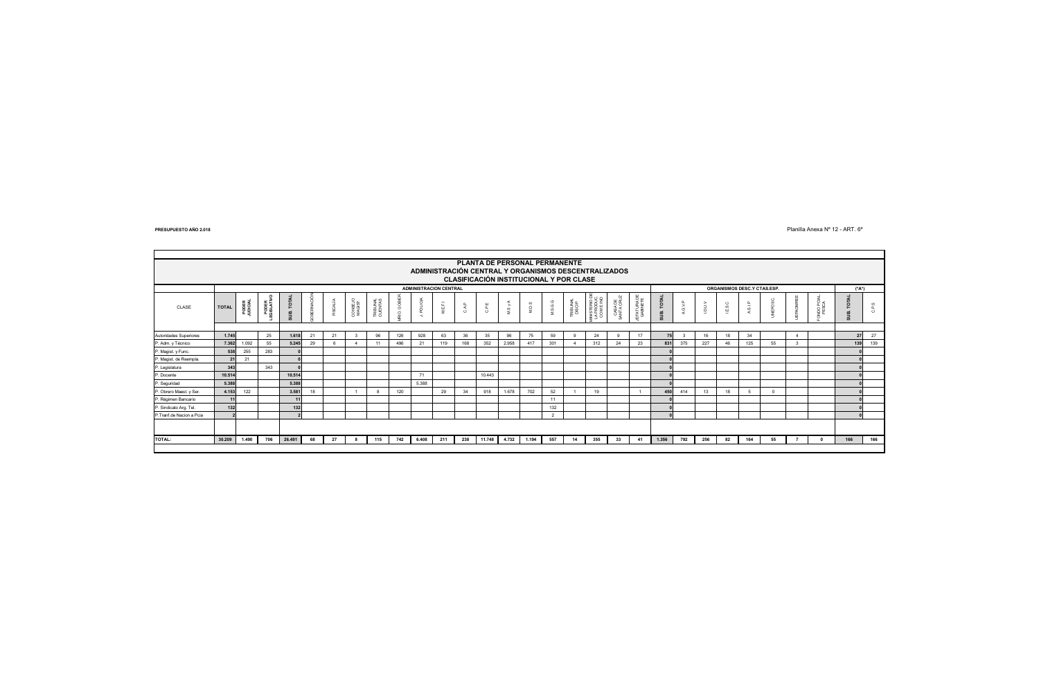Planilla Anexa Nº 12 - ART. 6º

|                          | PLANTA DE PERSONAL PERMANENTE<br>ADMINISTRACIÓN CENTRAL Y ORGANISMOS DESCENTRALIZADOS<br><b>CLASIFICACIÓN INSTITUCIONAL Y POR CLASE</b> |                                                              |                   |          |    |          |                    |                     |                 |                         |         |               |        |                |                           |            |                     |                                         |                       |                         |            |         |      |       |         |          |       |                |                                     |       |
|--------------------------|-----------------------------------------------------------------------------------------------------------------------------------------|--------------------------------------------------------------|-------------------|----------|----|----------|--------------------|---------------------|-----------------|-------------------------|---------|---------------|--------|----------------|---------------------------|------------|---------------------|-----------------------------------------|-----------------------|-------------------------|------------|---------|------|-------|---------|----------|-------|----------------|-------------------------------------|-------|
|                          |                                                                                                                                         | <b>ADMINISTRACION CENTRAL</b><br>ORGANISMOS DESC.Y CTAS.ESP. |                   |          |    |          |                    |                     |                 |                         |         |               |        |                | (*A*)                     |            |                     |                                         |                       |                         |            |         |      |       |         |          |       |                |                                     |       |
| CLASE                    | <b>TOTAL</b>                                                                                                                            | PODER<br>UDICIAL                                             | PODER<br>GISLATIV | UB. TOTA | ō  | FISCALÍA | CONSEJO<br>MAGIST. | TRIBUNAL<br>CUENTAS | <b>IO.</b> GOBI | POLICI<br>$\rightarrow$ | M.E.F.I | $\Omega$<br>ే | ш<br>흥 | $s_{yA}$<br>z. | $\omega$<br>$\frac{1}{2}$ | 8.6.6<br>ž | TRIBUNAL<br>DISCIP. | MINISTERIO D<br>LA PRODUC.<br>COM E IND | CASA DE<br>SANTA CRUZ | JEFATURA DE<br>GABINETE | SUB. TOTAL | A.G.V.P | vnan | E.S.C | A.S.I.P | EPOSC.   | AOMRI | <b>JDO PCI</b> | <b>TOTAL</b><br>В<br>$\overline{a}$ | C.P.S |
|                          |                                                                                                                                         |                                                              |                   |          |    |          |                    |                     |                 |                         |         |               |        |                |                           |            |                     |                                         |                       |                         |            |         |      |       |         |          |       |                |                                     |       |
| Autoridades Superiores   | 1.745                                                                                                                                   |                                                              | 25                | 1.618    | 21 | 21       |                    | 96                  | 126             | 928                     | 63      | 36            | 35     | 96             | 75                        | 59         |                     | 24                                      |                       | 17                      | 75         |         | 16   | 18    | 34      |          |       |                | 27                                  | 27    |
| P. Adm. y Técnico        | 7.362                                                                                                                                   | 1.092                                                        | 55                | 5.245    | 29 |          |                    | 11                  | 496             | 21                      | 119     | 168           | 352    | 2.958          | 417                       | 301        |                     | 312                                     | 24                    | 23                      | 831        | 375     | 227  |       | 125     | 55       |       |                | 139                                 | 139   |
| P. Magist. y Func.       | 538                                                                                                                                     | 255                                                          | 283               |          |    |          |                    |                     |                 |                         |         |               |        |                |                           |            |                     |                                         |                       |                         |            |         |      |       |         |          |       |                |                                     |       |
| P. Magist. de Reempla.   | 21                                                                                                                                      | 21                                                           |                   |          |    |          |                    |                     |                 |                         |         |               |        |                |                           |            |                     |                                         |                       |                         |            |         |      |       |         |          |       |                |                                     |       |
| P. Legislatura           | 343                                                                                                                                     |                                                              | 343               |          |    |          |                    |                     |                 |                         |         |               |        |                |                           |            |                     |                                         |                       |                         |            |         |      |       |         |          |       |                |                                     |       |
| P. Docente               | 10.514                                                                                                                                  |                                                              |                   | 10.514   |    |          |                    |                     |                 | 71                      |         |               | 10.443 |                |                           |            |                     |                                         |                       |                         |            |         |      |       |         |          |       |                |                                     |       |
| P. Seguridad             | 5,388                                                                                                                                   |                                                              |                   | 5.388    |    |          |                    |                     |                 | 5.388                   |         |               |        |                |                           |            |                     |                                         |                       |                         |            |         |      |       |         |          |       |                |                                     |       |
| P. Obrero Maest. y Ser.  | 4.153                                                                                                                                   | 122                                                          |                   | 3.581    | 18 |          |                    |                     | 120             |                         | 29      | 34            | 918    | 1.678          | 702                       | 52         |                     | 19                                      |                       |                         | 450        | 414     | 13   | 18    |         | $\Omega$ |       |                |                                     |       |
| P. Régimen Bancario      | 11                                                                                                                                      |                                                              |                   | 11       |    |          |                    |                     |                 |                         |         |               |        |                |                           | 11         |                     |                                         |                       |                         |            |         |      |       |         |          |       |                |                                     |       |
| P. Sindicato Arg. Tel.   | 132                                                                                                                                     |                                                              |                   | 132      |    |          |                    |                     |                 |                         |         |               |        |                |                           | 132        |                     |                                         |                       |                         |            |         |      |       |         |          |       |                |                                     |       |
| P.Tranf.de Nacion a Pcia |                                                                                                                                         |                                                              |                   |          |    |          |                    |                     |                 |                         |         |               |        |                |                           | $\sim$     |                     |                                         |                       |                         |            |         |      |       |         |          |       |                |                                     |       |
|                          |                                                                                                                                         |                                                              |                   |          |    |          |                    |                     |                 |                         |         |               |        |                |                           |            |                     |                                         |                       |                         |            |         |      |       |         |          |       |                |                                     |       |
| <b>TOTAL:</b>            | 30,209                                                                                                                                  | 1.490                                                        | 706               | 26.491   | 68 | 27       |                    | 115                 | 742             | 6.408                   | 211     | 238           | 11.748 | 4.732          | 1.194                     | 557        | 14                  | 355                                     | 33                    | 41                      | 1.356      | 792     | 256  | 82    | 164     | 55       |       |                | 166                                 | 166   |
|                          |                                                                                                                                         |                                                              |                   |          |    |          |                    |                     |                 |                         |         |               |        |                |                           |            |                     |                                         |                       |                         |            |         |      |       |         |          |       |                |                                     |       |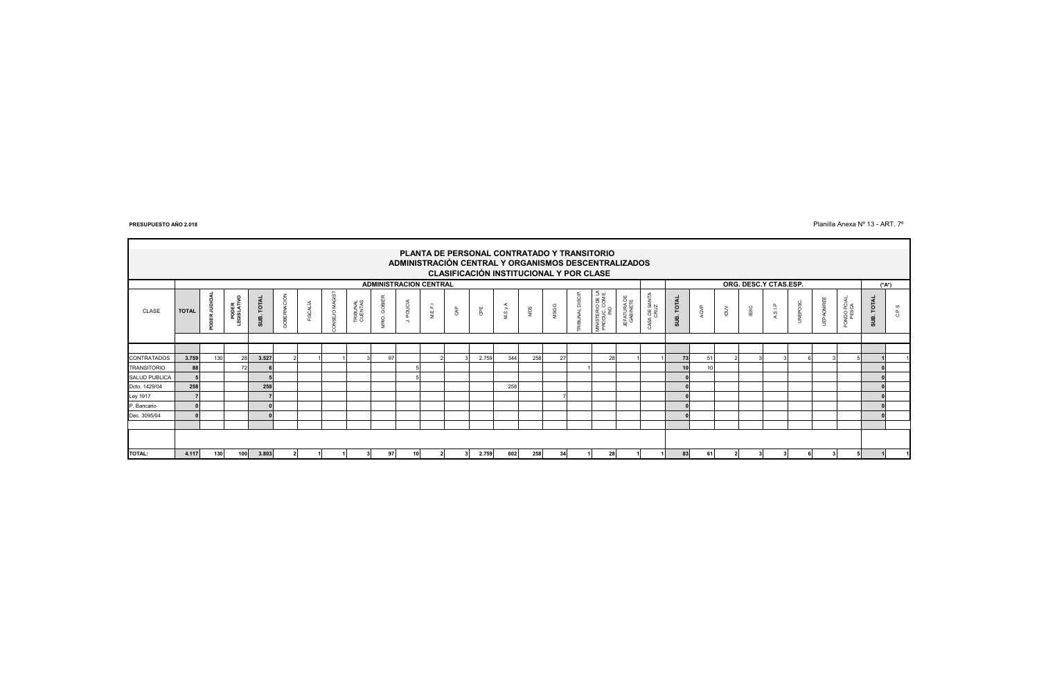Planilla Anexa Nº 13 - ART. 7º

|                    |              |                                                      |                     |            |                   |          |             |                     |               |                               |         |     |       |              |     |      |                    | PLANTA DE PERSONAL CONTRATADO Y TRANSITORIO |                         |                               |                       |                |         |             |         |          |                  |                     |                             |       |
|--------------------|--------------|------------------------------------------------------|---------------------|------------|-------------------|----------|-------------|---------------------|---------------|-------------------------------|---------|-----|-------|--------------|-----|------|--------------------|---------------------------------------------|-------------------------|-------------------------------|-----------------------|----------------|---------|-------------|---------|----------|------------------|---------------------|-----------------------------|-------|
|                    |              | ADMINISTRACIÓN CENTRAL Y ORGANISMOS DESCENTRALIZADOS |                     |            |                   |          |             |                     |               |                               |         |     |       |              |     |      |                    |                                             |                         |                               |                       |                |         |             |         |          |                  |                     |                             |       |
|                    |              | CLASIFICACIÓN INSTITUCIONAL Y POR CLASE              |                     |            |                   |          |             |                     |               |                               |         |     |       |              |     |      |                    |                                             |                         |                               |                       |                |         |             |         |          |                  |                     |                             |       |
|                    |              |                                                      |                     |            |                   |          |             |                     |               | <b>ADMINISTRACION CENTRAL</b> |         |     |       |              |     |      |                    |                                             |                         |                               | ORG. DESC.Y CTAS.ESP. |                |         |             | (*A*)   |          |                  |                     |                             |       |
| CLASE              | <b>TOTAL</b> | ğ<br>ā                                               | PODER<br>EGISLATIVO | SUB. TOTAL | <b>DBERNACIÓN</b> | FISCALÍA | NSEJO MAGIS | TRIBUNAL<br>CUENTAS | MRIO. GOBIER. | POLICIA<br>$\rightarrow$      | M.E.F.1 | CAP | €     | ⋖<br>$MSy$ . | Saw | MSGG | DISCI<br>RIBUNAL I | MINISTERIO DE LA<br>PRODUC, COM E<br>IND    | IEFATURA DE<br>GABINETE | $\prec$<br>A DE SANTA<br>CRUZ | SUB. TOTAL            | AGVP           | $\geqq$ | <b>IESC</b> | A.S.I.P | UNEPOSC. | <b>JEPAOMREE</b> | ONDO PCIAL<br>PESCA | <b>TOTAL</b><br>$rac{1}{2}$ | C.P.S |
|                    |              |                                                      |                     |            |                   |          |             |                     |               |                               |         |     |       |              |     |      |                    |                                             |                         |                               |                       |                |         |             |         |          |                  |                     |                             |       |
|                    |              |                                                      |                     |            |                   |          |             |                     |               |                               |         |     |       |              |     |      |                    |                                             |                         |                               |                       |                |         |             |         |          |                  |                     |                             |       |
| <b>CONTRATADOS</b> | 3.759        | 130                                                  | 28                  | 3.527      |                   |          |             |                     | 97            |                               |         |     | 2.759 | 344          | 258 | 27   |                    | 28                                          |                         |                               | 73                    | 5 <sup>′</sup> |         |             |         |          |                  |                     |                             |       |
| <b>TRANSITORIO</b> | 88           |                                                      | 72                  |            |                   |          |             |                     |               |                               |         |     |       |              |     |      |                    |                                             |                         |                               | 10                    | 10             |         |             |         |          |                  |                     |                             |       |
| SALUD PUBLICA      |              |                                                      |                     |            |                   |          |             |                     |               |                               |         |     |       |              |     |      |                    |                                             |                         |                               |                       |                |         |             |         |          |                  |                     |                             |       |
| Dcto. 1429/04      | 258          |                                                      |                     | 258        |                   |          |             |                     |               |                               |         |     |       | 258          |     |      |                    |                                             |                         |                               |                       |                |         |             |         |          |                  |                     |                             |       |
| Ley 1917           |              |                                                      |                     |            |                   |          |             |                     |               |                               |         |     |       |              |     |      |                    |                                             |                         |                               |                       |                |         |             |         |          |                  |                     |                             |       |
| P. Bancario        |              |                                                      |                     |            |                   |          |             |                     |               |                               |         |     |       |              |     |      |                    |                                             |                         |                               |                       |                |         |             |         |          |                  |                     |                             |       |
| Dec. 3095/04       |              |                                                      |                     |            |                   |          |             |                     |               |                               |         |     |       |              |     |      |                    |                                             |                         |                               |                       |                |         |             |         |          |                  |                     |                             |       |
|                    |              |                                                      |                     |            |                   |          |             |                     |               |                               |         |     |       |              |     |      |                    |                                             |                         |                               |                       |                |         |             |         |          |                  |                     |                             |       |
|                    |              |                                                      |                     |            |                   |          |             |                     |               |                               |         |     |       |              |     |      |                    |                                             |                         |                               |                       |                |         |             |         |          |                  |                     |                             |       |
| TOTAL:             | 4.117        | 130                                                  | 100 <sup>1</sup>    | 3.803      |                   |          |             |                     | 97            | 10                            |         |     | 2.759 | 602          | 258 | 34   |                    | 28                                          |                         |                               | 83                    | 61             |         |             |         |          |                  |                     |                             |       |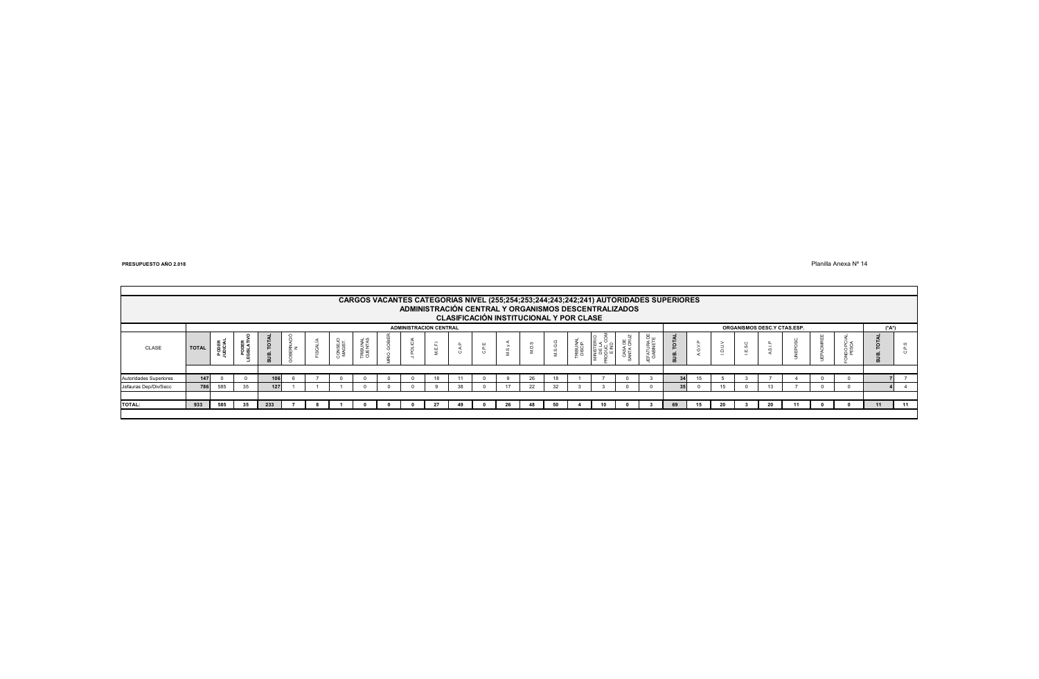Planilla Anexa Nº 14

|                        | CARGOS VACANTES CATEGORIAS NIVEL (255;254;253;244;243;242;241) AUTORIDADES SUPERIORES<br>ADMINISTRACIÓN CENTRAL Y ORGANISMOS DESCENTRALIZADOS<br>CLASIFICACIÓN INSTITUCIONAL Y POR CLASE |              |                |                      |     |  |                    |           |  |  |        |                             |          |    |          |  |                        |            |         |  |    |  |    |  |     |  |                   |
|------------------------|------------------------------------------------------------------------------------------------------------------------------------------------------------------------------------------|--------------|----------------|----------------------|-----|--|--------------------|-----------|--|--|--------|-----------------------------|----------|----|----------|--|------------------------|------------|---------|--|----|--|----|--|-----|--|-------------------|
|                        | <b>ADMINISTRACION CENTRAL</b>                                                                                                                                                            |              |                |                      |     |  |                    |           |  |  |        | ORGANISMOS DESC.Y CTAS.ESP. |          |    |          |  |                        | (*A*)      |         |  |    |  |    |  |     |  |                   |
| CLASE                  | <b>TOTAL</b>                                                                                                                                                                             | POE<br>UDICI | $\overline{8}$ | `P<br>$\overline{a}$ | ≈ z |  | CONSEJO<br>MAGIST. | E S<br>Ξω |  |  | -<br>필 | ن                           | $\omega$ |    | <b>S</b> |  | 봄 몸<br>CASA I<br>WTA C | ு ய<br>≲ ⊡ | $\circ$ |  | P. |  | -- |  | ñ r |  | $\leftrightarrow$ |
|                        |                                                                                                                                                                                          |              |                |                      |     |  |                    |           |  |  |        |                             |          |    |          |  |                        |            |         |  |    |  |    |  |     |  |                   |
| Autoridades Superiores | 147                                                                                                                                                                                      |              |                |                      |     |  |                    |           |  |  |        |                             |          | 26 |          |  |                        |            | 34      |  |    |  |    |  |     |  |                   |
| Jefauras Dep/Div/Secc  | 786                                                                                                                                                                                      | 585          | 35             | 127                  |     |  |                    |           |  |  |        | 38                          |          | 22 | 32       |  |                        |            | 35      |  | 15 |  |    |  |     |  |                   |
|                        |                                                                                                                                                                                          |              |                |                      |     |  |                    |           |  |  |        |                             |          |    |          |  |                        |            |         |  |    |  |    |  |     |  |                   |
| <b>TOTAL:</b>          | 933                                                                                                                                                                                      | 585          | 35             | 233                  |     |  |                    |           |  |  |        |                             | 26       |    | 50       |  |                        |            | 69      |  | 20 |  | 20 |  |     |  | 11                |
|                        |                                                                                                                                                                                          |              |                |                      |     |  |                    |           |  |  |        |                             |          |    |          |  |                        |            |         |  |    |  |    |  |     |  |                   |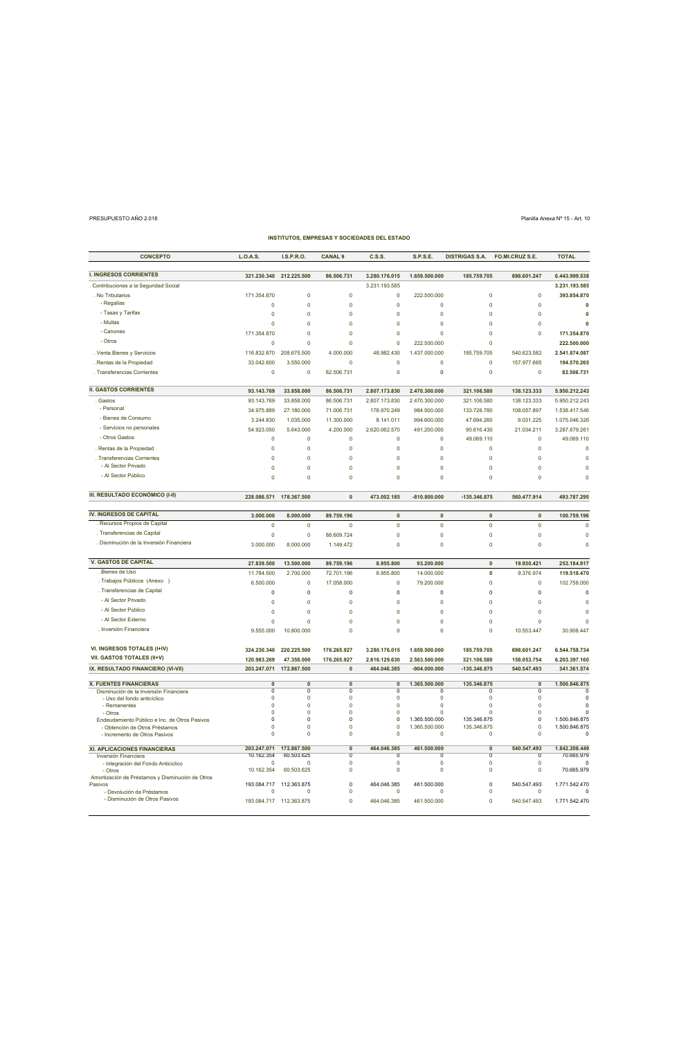## PRESUPUESTO AÑO 2.018 Planilla Anexa Nº 15 - Art. 10

| <b>CONCEPTO</b>                                                                 | L.O.A.S.                                 | I.S.P.R.O.                | <b>CANAL 9</b>                         | C.S.S.                                   | <b>S.P.S.E.</b>               | <b>DISTRIGAS S.A.</b>      | FO.MI.CRUZ S.E.                          | <b>TOTAL</b>                  |
|---------------------------------------------------------------------------------|------------------------------------------|---------------------------|----------------------------------------|------------------------------------------|-------------------------------|----------------------------|------------------------------------------|-------------------------------|
| <b>I. INGRESOS CORRIENTES</b>                                                   | 321.230.340                              | 212.225.500               | 86.506.731                             | 3.280.176.015                            | 1.659.500.000                 | 185.759.705                | 698.601.247                              | 6.443.999.538                 |
| Contribuciones a la Seguridad Social                                            |                                          |                           |                                        | 3.231.193.585                            |                               |                            |                                          | 3.231.193.585                 |
| . No Tributarios                                                                | 171.354.870                              | $\mathbf 0$               | $\mathbf 0$                            | $\pmb{0}$                                | 222.500.000                   | $\mathbf 0$                | $\mathbf 0$                              | 393.854.870                   |
| - Regalías                                                                      | $\mathbf 0$                              | $\pmb{0}$                 | $\pmb{0}$                              | $\pmb{0}$                                | $\circ$                       | $\mathbf 0$                | $\pmb{0}$                                | $\mathbf 0$                   |
| - Tasas y Tarifas                                                               | $\mathbf 0$                              | $\circ$                   | $\mathbf 0$                            | $\pmb{0}$                                | $\mathbf 0$                   | $\overline{0}$             | $\mathbf 0$                              | $\mathbf 0$                   |
| - Multas                                                                        | $\mathbf 0$                              | 0                         | $\mathbf 0$                            | $\mathbf 0$                              | $\circ$                       | $\overline{0}$             | $\overline{0}$                           | $\mathbf 0$                   |
| - Canones                                                                       | 171.354.870                              | 0                         | $\mathbf 0$                            | $\pmb{0}$                                | $\circ$                       | $\overline{0}$             | $\overline{0}$                           | 171.354.870                   |
| - Otros                                                                         | $\overline{0}$                           | $\pmb{0}$                 | $\mathbf 0$                            | $\pmb{0}$                                | 222.500.000                   | $\overline{0}$             |                                          | 222.500.000                   |
| . Venta. Bienes y Servicios                                                     | 116.832.870                              | 208.675.500               | 4.000.000                              | 48.982.430                               | 1.437.000.000                 | 185.759.705                | 540.623.582                              | 2.541.874.087                 |
| Rentas de la Propiedad                                                          | 33.042.600                               | 3.550.000                 | $\Omega$                               | $\mathbf 0$                              | $\Omega$                      | $\Omega$                   | 157.977.665                              | 194.570.265                   |
| . Transferencias Corrientes                                                     | $\pmb{0}$                                | $\pmb{0}$                 | 82.506.731                             | $\mathbf 0$                              | $\mathbf 0$                   | $\Omega$                   | $\mathbf 0$                              | 82.506.731                    |
| <b>II. GASTOS CORRIENTES</b>                                                    | 93.143.769                               | 33.858.000                | 86.506.731                             | 2.807.173.830                            | 2.470.300.000                 | 321.106.580                | 138.123.333                              | 5.950.212.243                 |
| Gastos                                                                          | 93.143.769                               | 33.858.000                | 86.506.731                             | 2.807.173.830                            | 2.470.300.000                 | 321.106.580                | 138.123.333                              | 5.950.212.243                 |
| - Personal                                                                      | 34.975.889                               | 27.180.000                | 71.006.731                             | 178.970.249                              | 984.500.000                   | 133.726.780                | 108.057.897                              | 1.538.417.546                 |
| - Bienes de Consumo                                                             | 3.244.830                                | 1.035.000                 | 11.300.000                             | 8.141.011                                | 994.600.000                   | 47.694.260                 | 9.031.225                                | 1.075.046.326                 |
| - Servicios no personales                                                       | 54.923.050                               | 5.643.000                 | 4.200.000                              | 2.620.062.570                            | 491.200.000                   | 90.616.430                 | 21.034.211                               | 3.287.679.261                 |
| - Otros Gastos                                                                  | $\mathbf 0$                              | $\pmb{0}$                 | $\mathbf 0$                            | $\pmb{0}$                                | $\overline{0}$                | 49.069.110                 | $\overline{0}$                           | 49.069.110                    |
| . Rentas de la Propiedad                                                        | $\overline{0}$                           | $\pmb{0}$                 | $\pmb{\mathsf{O}}$                     | $\pmb{0}$                                | $\Omega$                      | $\Omega$                   | $\Omega$                                 | $\pmb{0}$                     |
| . Transferencias Corrientes<br>- Al Sector Privado                              | $\mathbf 0$                              | $\Omega$                  | $\mathbf 0$                            | $\mathbf 0$                              | $\circ$                       | $\Omega$                   | $\overline{0}$                           | $\mathbf 0$                   |
| - Al Sector Público                                                             | $\mathbf 0$                              | $\pmb{0}$                 | $\mathbf 0$                            | $\mathbf 0$                              | $\mathbf 0$                   | $\mathbf 0$                | $\overline{0}$                           | $\mathbf 0$                   |
|                                                                                 | $\overline{0}$                           | $\mathbf 0$               | $\mathbf 0$                            | $\mathbf 0$                              | $\Omega$                      | $\Omega$                   | $\Omega$                                 | $\mathbf 0$                   |
| III. RESULTADO ECONÓMICO (I-II)                                                 | 228.086.571                              | 178.367.500               | $\pmb{0}$                              | 473.002.185                              | $-810.800.000$                | -135.346.875               | 560.477.914                              | 493.787.295                   |
| <b>IV. INGRESOS DE CAPITAL</b>                                                  | 3.000.000                                | 8.000.000                 | 89.759.196                             | $\pmb{0}$                                | $\mathbf{0}$                  | $\mathbf{0}$               | $\mathbf{0}$                             | 100.759.196                   |
| Recursos Propios de Capital                                                     | $\mathbf 0$                              | $\mathbf 0$               | $\mathbf 0$                            | $\mathbf 0$                              | $\pmb{\mathsf{O}}$            | $\mathbf 0$                | $\mathbf 0$                              | $\mathbf 0$                   |
| . Transferencias de Capital                                                     | $\pmb{0}$                                | $\pmb{0}$                 | 88.609.724                             | $\pmb{\mathsf{O}}$                       | $\pmb{\mathsf{O}}$            | $\mathbf 0$                | $\pmb{0}$                                | $\pmb{0}$                     |
| . Disminución de la Inversión Financiera                                        | 3.000.000                                | 8.000.000                 | 1.149.472                              | $\pmb{0}$                                | $\circ$                       | $\overline{0}$             | $\mathbf 0$                              | $\mathbf 0$                   |
| <b>V. GASTOS DE CAPITAL</b>                                                     | 27.839.500                               | 13.500.000                | 89.759.196                             | 8.955.800                                | 93.200.000                    | $\mathbf{0}$               | 19.930.421                               | 253.184.917                   |
| .Bienes de Uso                                                                  | 11.784.500                               | 2.700.000                 | 72.701.196                             | 8.955.800                                | 14.000.000                    | $\mathbf 0$                | 9.376.974                                | 119.518.470                   |
| . Trabajos Públicos (Anexo )                                                    | 6.500.000                                | $\mathbf 0$               | 17.058.000                             | $\pmb{0}$                                | 79.200.000                    | $\mathbf 0$                | $\mathbf 0$                              | 102.758.000                   |
| . Transferencias de Capital                                                     | $\mathbf 0$                              | $\mathsf 0$               | $\mathsf{O}\xspace$                    | $\mathsf{O}\xspace$                      | $\mathbf 0$                   | $\overline{0}$             | $\pmb{0}$                                | $\mathbf 0$                   |
| - Al Sector Privado                                                             | $\pmb{0}$                                | $\Omega$                  | $\pmb{\mathsf{O}}$                     | $\pmb{0}$                                | $\mathbf 0$                   | $\Omega$                   | $\Omega$                                 | $\overline{0}$                |
| - Al Sector Público                                                             | $\overline{0}$                           | $\mathbf 0$               | $\mathbf 0$                            | $\mathbf 0$                              | $\Omega$                      | $\Omega$                   | $\Omega$                                 | $\mathbf 0$                   |
| - Al Sector Externo                                                             | $\mathbf 0$                              | $\pmb{0}$                 | $\mathbf 0$                            | $\mathbf 0$                              | $\mathbf 0$                   | $\mathbf 0$                | $\overline{0}$                           | $\mathbf 0$                   |
| . Inversión Financiera                                                          | 9.555.000                                | 10.800.000                | $\mathbf 0$                            | $\pmb{0}$                                | $\circ$                       | $\overline{0}$             | 10.553.447                               | 30.908.447                    |
| VI. INGRESOS TOTALES (I+IV)                                                     | 324.230.340                              | 220.225.500               | 176.265.927                            | 3.280.176.015                            | 1.659.500.000                 | 185.759.705                | 698.601.247                              | 6.544.758.734                 |
| VII. GASTOS TOTALES (II+V)                                                      | 120.983.269                              | 47.358.000                | 176.265.927                            | 2.816.129.630                            | 2.563.500.000                 | 321.106.580                | 158.053.754                              | 6.203.397.160                 |
| IX. RESULTADO FINANCIERO (VI-VII)                                               | 203.247.071                              | 172.867.500               | $\pmb{0}$                              | 464.046.385                              | $-904.000.000$                | -135.346.875               | 540.547.493                              | 341.361.574                   |
| <b>X. FUENTES FINANCIERAS</b>                                                   | $\overline{0}$                           | $\overline{0}$            | $\overline{0}$                         | $\overline{0}$                           | 1.365.500.000                 | 135.346.875                | $\overline{0}$                           | 1.500.846.875                 |
| Disminución de la Inversión Financiera<br>- Uso del fondo anticíclico           | $\overline{\mathfrak{o}}$<br>$\mathbf 0$ | $\overline{0}$<br>$\circ$ | $\overline{0}$<br>$\circ$              | $\overline{0}$<br>$\circ$                | $\Omega$<br>$\mathbf 0$       | $\Omega$<br>$\mathbf 0$    | $\overline{0}$<br>$\mathbf 0$            | $\overline{0}$<br>$\mathbf 0$ |
| - Remanentes                                                                    | $\Omega$                                 | $\Omega$                  | $\pmb{0}$                              | $\pmb{0}$                                | $\pmb{0}$                     | $\Omega$                   | $\Omega$                                 | $\pmb{0}$                     |
| - Otros                                                                         | $\pmb{0}$<br>$\pmb{0}$                   | $\pmb{0}$<br>$\mathsf 0$  | $\pmb{0}$<br>$\pmb{0}$                 | $\pmb{0}$<br>$\pmb{0}$                   | $\pmb{0}$<br>1.365.500.000    | $\Omega$<br>135.346.875    | $\pmb{0}$<br>$\pmb{0}$                   | $\pmb{0}$<br>1.500.846.875    |
| Endeudamiento Público e Inc. de Otros Pasivos<br>- Obtención de Otros Préstamos | $\pmb{0}$                                | $\Omega$                  | $\pmb{0}$                              | $\pmb{0}$                                | 1.365.500.000                 | 135.346.875                | $\Omega$                                 | 1.500.846.875                 |
| - Incremento de Otros Pasivos                                                   | $\mathbf 0$                              | $\pmb{0}$                 | $\pmb{0}$                              | $\pmb{0}$                                | $\Omega$                      | $\Omega$                   | $\Omega$                                 | $\Omega$                      |
| <b>XI. APLICACIONES FINANCIERAS</b>                                             | 203.247.071                              | 172.867.500               | $\overline{\mathbf{0}}$                | 464.046.385                              | 461.500.000                   | $\overline{\mathbf{0}}$    | 540.547.493                              | 1.842.208.449                 |
| Inversión Financiera<br>- Integración del Fondo Anticiclico                     | 10.162.354<br>$\Omega$                   | 60.503.625<br>$\Omega$    | $\overline{\mathbf{0}}$<br>$\mathbf 0$ | $\overline{\mathfrak{o}}$<br>$\mathbf 0$ | $\overline{0}$<br>$\mathbf 0$ | $\overline{0}$<br>$\Omega$ | $\overline{\mathfrak{o}}$<br>$\mathbf 0$ | 70.665.979<br>0               |
| - Otros<br>Amortización de Préstamos y Disminución de Otros                     | 10.162.354                               | 60.503.625                | $\pmb{0}$                              | $\mathbf 0$                              | $\mathbf 0$                   | $\Omega$                   | $\mathbf 0$                              | 70.665.979                    |
| Pasivos                                                                         | 193.084.717                              | 112.363.875               | $\pmb{0}$                              | 464.046.385                              | 461.500.000                   | $\pmb{0}$                  | 540.547.493                              | 1.771.542.470                 |
| - Devolución de Préstamos                                                       | $\circ$                                  | $\mathbf 0$               | $\pmb{0}$                              | $\circ$                                  | 0                             | $\mathbf 0$                | $\mathbf 0$                              | 0                             |
| - Disminución de Otros Pasivos                                                  |                                          | 193.084.717 112.363.875   | $\mathbf 0$                            | 464.046.385                              | 461.500.000                   | $\Omega$                   | 540.547.493                              | 1.771.542.470                 |

**INSTITUTOS, EMPRESAS Y SOCIEDADES DEL ESTADO**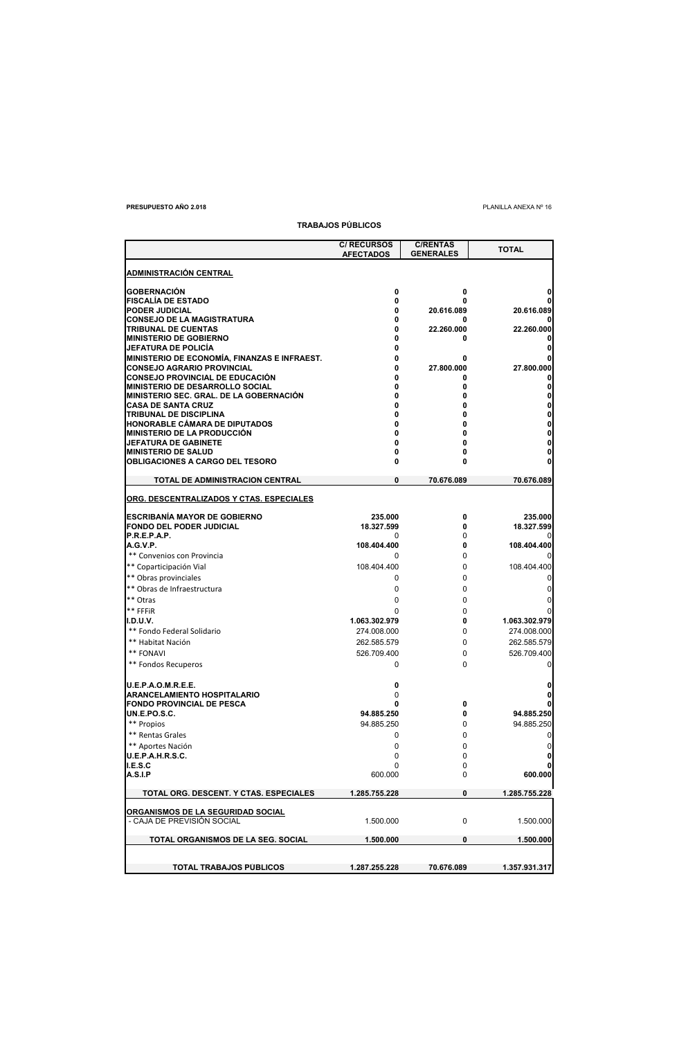## **PRESUPUESTO AÑO 2.018** PLANILLA ANEXA Nº 16

|                                                                                   | <b>TRABAJOS PÚBLICOS</b>               |                                     |               |
|-----------------------------------------------------------------------------------|----------------------------------------|-------------------------------------|---------------|
|                                                                                   | <b>C/ RECURSOS</b><br><b>AFECTADOS</b> | <b>C/RENTAS</b><br><b>GENERALES</b> | <b>TOTAL</b>  |
| <b>ADMINISTRACIÓN CENTRAL</b>                                                     |                                        |                                     |               |
| <b>GOBERNACIÓN</b>                                                                | 0                                      | 0                                   | 0             |
| <b>FISCALÍA DE ESTADO</b>                                                         | 0                                      | 0                                   |               |
| <b>PODER JUDICIAL</b>                                                             | 0                                      | 20.616.089                          | 20.616.089    |
| <b>CONSEJO DE LA MAGISTRATURA</b>                                                 | 0                                      | 0                                   |               |
| TRIBUNAL DE CUENTAS                                                               | 0                                      | 22.260.000                          | 22.260.000    |
| <b>MINISTERIO DE GOBIERNO</b>                                                     | 0                                      | 0                                   |               |
| JEFATURA DE POLICIA                                                               | 0                                      |                                     |               |
| MINISTERIO DE ECONOMÍA, FINANZAS E INFRAEST.<br><b>CONSEJO AGRARIO PROVINCIAL</b> | 0<br>0                                 | 0<br>27.800.000                     | 27.800.000    |
| <b>CONSEJO PROVINCIAL DE EDUCACIÓN</b>                                            | 0                                      | 0                                   |               |
| MINISTERIO DE DESARROLLO SOCIAL                                                   | 0                                      | 0                                   | 0             |
| MINISTERIO SEC. GRAL. DE LA GOBERNACIÓN                                           | 0                                      | 0                                   | 0             |
| <b>CASA DE SANTA CRUZ</b>                                                         | 0                                      | 0                                   | 0             |
| <b>TRIBUNAL DE DISCIPLINA</b>                                                     | 0                                      | 0                                   | 0             |
| <b>HONORABLE CÁMARA DE DIPUTADOS</b>                                              | 0                                      | 0                                   |               |
| <b>MINISTERIO DE LA PRODUCCIÓN</b>                                                | 0                                      | 0                                   | 0             |
| JEFATURA DE GABINETE                                                              | 0                                      | 0                                   | 0             |
| <b>MINISTERIO DE SALUD</b>                                                        | 0                                      | 0                                   | 0             |
| <b>OBLIGACIONES A CARGO DEL TESORO</b>                                            | 0                                      | 0                                   |               |
| TOTAL DE ADMINISTRACION CENTRAL                                                   | 0                                      | 70.676.089                          | 70.676.089    |
| ORG. DESCENTRALIZADOS Y CTAS. ESPECIALES                                          |                                        |                                     |               |
| <b>ESCRIBANÍA MAYOR DE GOBIERNO</b>                                               | 235.000                                | 0                                   | 235.000       |
| <b>FONDO DEL PODER JUDICIAL</b>                                                   | 18.327.599                             | 0                                   | 18.327.599    |
| P.R.E.P.A.P.                                                                      | 0                                      | 0                                   |               |
| A.G.V.P.                                                                          | 108.404.400                            | 0                                   | 108.404.400   |
| ** Convenios con Provincia                                                        | 0                                      | 0                                   |               |
| ** Coparticipación Vial                                                           | 108.404.400                            | 0                                   | 108.404.400   |
| ** Obras provinciales                                                             | 0                                      | 0                                   | 0             |
| ** Obras de Infraestructura                                                       | 0                                      | 0                                   | 0             |
| ** Otras                                                                          | 0                                      | 0                                   | 0             |
| ** FFFiR                                                                          | 0                                      | 0                                   |               |
| <b>I.D.U.V.</b>                                                                   | 1.063.302.979                          | 0                                   | 1.063.302.979 |
| ** Fondo Federal Solidario                                                        | 274.008.000                            | 0                                   | 274.008.000   |
| ** Habitat Nación                                                                 | 262.585.579                            | 0                                   | 262.585.579   |
| ** FONAVI                                                                         | 526.709.400                            | 0                                   | 526.709.400   |
| ** Fondos Recuperos                                                               | 0                                      | 0                                   | 0             |
|                                                                                   |                                        |                                     |               |
| U.E.P.A.O.M.R.E.E.                                                                | 0                                      |                                     | 0             |
| <b>ARANCELAMIENTO HOSPITALARIO</b>                                                | 0                                      |                                     |               |
| <b>FONDO PROVINCIAL DE PESCA</b>                                                  | 0                                      | 0                                   |               |
| UN.E.PO.S.C.                                                                      | 94.885.250                             | 0                                   | 94.885.250    |
| ** Propios                                                                        | 94.885.250                             | 0                                   | 94.885.250    |
| ** Rentas Grales                                                                  | 0                                      | 0                                   | 0             |
| ** Aportes Nación                                                                 | 0                                      | 0                                   | 0             |
| U.E.P.A.H.R.S.C.                                                                  | 0                                      | 0                                   | 0             |
| I.E.S.C                                                                           | 0                                      | 0                                   | 0             |
| <b>A.S.I.P</b>                                                                    | 600.000                                | 0                                   | 600.000       |
| TOTAL ORG. DESCENT. Y CTAS. ESPECIALES                                            | 1.285.755.228                          | 0                                   | 1.285.755.228 |
| ORGANISMOS DE LA SEGURIDAD SOCIAL                                                 |                                        |                                     |               |
| - CAJA DE PREVISIÓN SOCIAL                                                        | 1.500.000                              | 0                                   | 1.500.000     |
| TOTAL ORGANISMOS DE LA SEG. SOCIAL                                                | 1.500.000                              | 0                                   | 1.500.000     |
|                                                                                   |                                        |                                     |               |
| TOTAL TRABAJOS PÚBLICOS                                                           | 1.287.255.228                          | 70.676.089                          | 1.357.931.317 |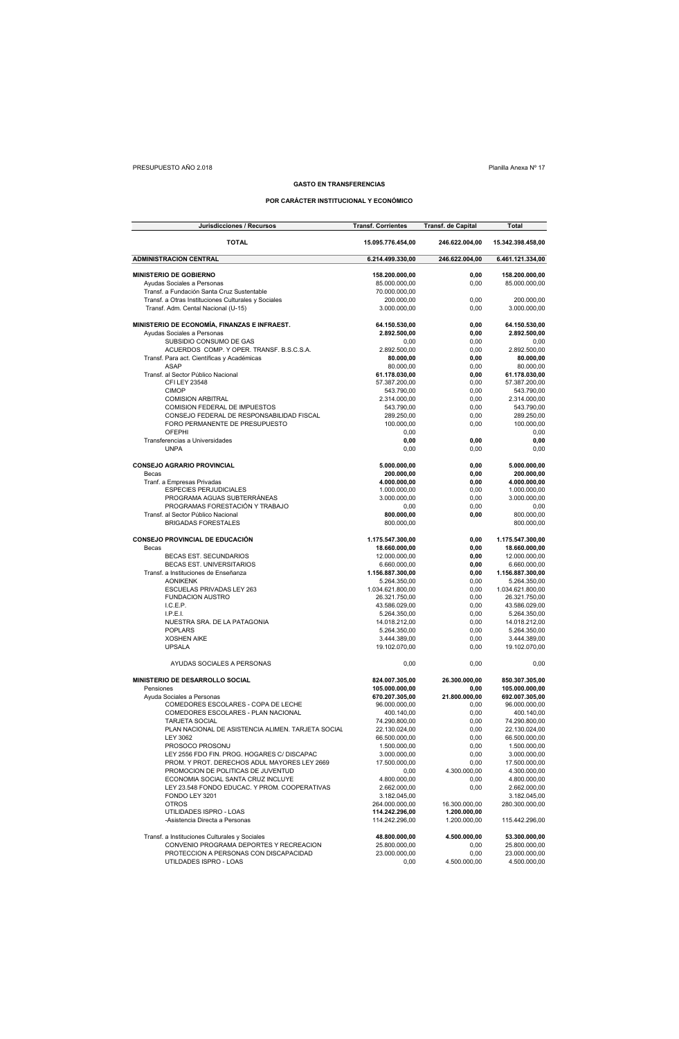## PRESUPUESTO AÑO 2.018 Planilla Anexa Nº 17

## **GASTO EN TRANSFERENCIAS**

## **POR CARÁCTER INSTITUCIONAL Y ECONÓMICO**

| Jurisdicciones / Recursos                           | <b>Transf. Corrientes</b> | <b>Transf.</b> de Capital | Total             |
|-----------------------------------------------------|---------------------------|---------------------------|-------------------|
| <b>TOTAL</b>                                        | 15.095.776.454,00         | 246.622.004,00            | 15.342.398.458,00 |
| <b>ADMINISTRACION CENTRAL</b>                       | 6.214.499.330,00          | 246.622.004,00            | 6.461.121.334,00  |
| <b>MINISTERIO DE GOBIERNO</b>                       | 158.200.000,00            | 0,00                      | 158.200.000,00    |
| Ayudas Sociales a Personas                          | 85.000.000,00             | 0,00                      | 85.000.000,00     |
| Transf. a Fundación Santa Cruz Sustentable          | 70.000.000,00             |                           |                   |
| Transf. a Otras Instituciones Culturales y Sociales | 200.000,00                | 0,00                      | 200.000,00        |
| Transf. Adm. Cental Nacional (U-15)                 | 3.000.000,00              | 0,00                      | 3.000.000,00      |
| MINISTERIO DE ECONOMÍA, FINANZAS E INFRAEST.        | 64.150.530,00             | 0,00                      | 64.150.530,00     |
| Ayudas Sociales a Personas                          | 2.892.500,00              | 0,00                      | 2.892.500,00      |
| SUBSIDIO CONSUMO DE GAS                             | 0,00                      | 0,00                      | 0,00              |
| ACUERDOS COMP. Y OPER. TRANSF. B.S.C.S.A.           | 2.892.500,00              | 0,00                      | 2.892.500,00      |
| Transf. Para act. Científicas y Académicas          | 80.000,00                 | 0,00                      | 80.000,00         |
| <b>ASAP</b>                                         | 80.000,00                 | 0,00                      | 80.000,00         |
| Transf. al Sector Público Nacional                  | 61.178.030,00             | 0,00                      | 61.178.030,00     |
| CFI LEY 23548                                       | 57.387.200,00             | 0,00                      | 57.387.200,00     |
| <b>CIMOP</b>                                        | 543.790,00                | 0,00                      | 543.790,00        |
| <b>COMISION ARBITRAL</b>                            | 2.314.000,00              | 0,00                      | 2.314.000,00      |
| COMISION FEDERAL DE IMPUESTOS                       | 543.790,00                | 0,00                      | 543.790,00        |
| CONSEJO FEDERAL DE RESPONSABILIDAD FISCAL           | 289.250,00                | 0,00                      | 289.250,00        |
| FORO PERMANENTE DE PRESUPUESTO                      | 100.000,00                | 0,00                      | 100.000,00        |
| <b>OFEPHI</b>                                       | 0,00                      |                           | 0,00              |
| Transferencias a Universidades                      | 0,00                      | 0,00                      | 0,00              |
| <b>UNPA</b>                                         | 0,00                      | 0,00                      | 0,00              |
| <b>CONSEJO AGRARIO PROVINCIAL</b>                   | 5.000.000,00              | 0,00                      | 5.000.000,00      |
| Becas                                               | 200.000,00                | 0,00                      | 200.000,00        |
| Tranf. a Empresas Privadas                          | 4.000.000,00              | 0,00                      | 4.000.000,00      |
| <b>ESPECIES PERJUDICIALES</b>                       | 1.000.000,00              | 0,00                      | 1.000.000,00      |
| PROGRAMA AGUAS SUBTERRÁNEAS                         | 3.000.000,00              | 0,00                      | 3.000.000,00      |
| PROGRAMAS FORESTACIÓN Y TRABAJO                     | 0,00                      | 0,00                      | 0,00              |
| Transf. al Sector Público Nacional                  | 800.000,00                | 0,00                      | 800.000,00        |
| <b>BRIGADAS FORESTALES</b>                          | 800.000,00                |                           | 800.000,00        |
| <b>CONSEJO PROVINCIAL DE EDUCACIÓN</b>              | 1.175.547.300,00          | 0,00                      | 1.175.547.300,00  |
| Becas                                               | 18.660.000,00             | 0,00                      | 18.660.000,00     |
| <b>BECAS EST. SECUNDARIOS</b>                       | 12.000.000,00             | 0,00                      | 12.000.000,00     |
| BECAS EST. UNIVERSITARIOS                           | 6.660.000,00              | 0,00                      | 6.660.000,00      |
| Transf. a Instituciones de Enseñanza                | 1.156.887.300,00          | 0,00                      | 1.156.887.300,00  |
| <b>AONIKENK</b>                                     | 5.264.350,00              | 0,00                      | 5.264.350,00      |
| ESCUELAS PRIVADAS LEY 263                           | 1.034.621.800,00          | 0,00                      | 1.034.621.800,00  |
| <b>FUNDACION AUSTRO</b>                             | 26.321.750,00             | 0,00                      | 26.321.750,00     |
| I.C.E.P.                                            | 43.586.029,00             | 0,00                      | 43.586.029,00     |
| L.P.E.L.                                            | 5.264.350,00              | 0,00                      | 5.264.350,00      |
| NUESTRA SRA. DE LA PATAGONIA                        | 14.018.212,00             | 0,00                      | 14.018.212,00     |
| <b>POPLARS</b>                                      | 5.264.350,00              | 0,00                      | 5.264.350,00      |
| <b>XOSHEN AIKE</b>                                  | 3.444.389,00              | 0,00                      | 3.444.389,00      |
| <b>UPSALA</b>                                       | 19.102.070,00             | 0,00                      | 19.102.070,00     |
| AYUDAS SOCIALES A PERSONAS                          |                           |                           | 0,00              |
|                                                     | 0,00                      | 0,00                      |                   |
| MINISTERIO DE DESARROLLO SOCIAL                     | 824.007.305,00            | 26.300.000,00             | 850.307.305,00    |
| Pensiones                                           | 105.000.000,00            | 0,00                      | 105.000.000,00    |
| Ayuda Sociales a Personas                           | 670.207.305,00            | 21.800.000,00             | 692.007.305,00    |
| COMEDORES ESCOLARES - COPA DE LECHE                 | 96.000.000,00             | 0,00                      | 96.000.000,00     |
| COMEDORES ESCOLARES - PLAN NACIONAL                 | 400.140,00                | 0,00                      | 400.140,00        |
| <b>TARJETA SOCIAL</b>                               | 74.290.800,00             | 0,00                      | 74.290.800,00     |
| PLAN NACIONAL DE ASISTENCIA ALIMEN. TARJETA SOCIAL  | 22.130.024,00             | 0,00                      | 22.130.024,00     |
| <b>LEY 3062</b>                                     | 66.500.000,00             | 0,00                      | 66.500.000,00     |
| PROSOCO PROSONU                                     | 1.500.000,00              | 0,00                      | 1.500.000,00      |
| LEY 2556 FDO FIN. PROG. HOGARES C/ DISCAPAC         | 3.000.000,00              | 0,00                      | 3.000.000,00      |
| PROM. Y PROT. DERECHOS ADUL MAYORES LEY 2669        | 17.500.000,00             | 0,00                      | 17.500.000,00     |
| PROMOCION DE POLITICAS DE JUVENTUD                  | 0,00                      | 4.300.000,00              | 4.300.000,00      |
| ECONOMIA SOCIAL SANTA CRUZ INCLUYE                  | 4.800.000,00              | 0,00                      | 4.800.000,00      |
| LEY 23.548 FONDO EDUCAC. Y PROM. COOPERATIVAS       | 2.662.000,00              | 0,00                      | 2.662.000,00      |
| FONDO LEY 3201                                      | 3.182.045,00              |                           | 3.182.045,00      |
| <b>OTROS</b>                                        | 264.000.000,00            | 16.300.000,00             | 280.300.000,00    |
| UTILIDADES ISPRO - LOAS                             | 114.242.296,00            | 1.200.000,00              |                   |
| -Asistencia Directa a Personas                      | 114.242.296.00            | 1.200.000,00              | 115.442.296,00    |
| Transf. a Instituciones Culturales y Sociales       | 48.800.000,00             | 4.500.000,00              | 53.300.000,00     |
| CONVENIO PROGRAMA DEPORTES Y RECREACION             | 25.800.000,00             | 0,00                      | 25.800.000,00     |
| PROTECCION A PERSONAS CON DISCAPACIDAD              | 23.000.000,00             | 0,00                      | 23.000.000,00     |
| UTILDADES ISPRO - LOAS                              | 0,00                      | 4.500.000,00              | 4.500.000,00      |
|                                                     |                           |                           |                   |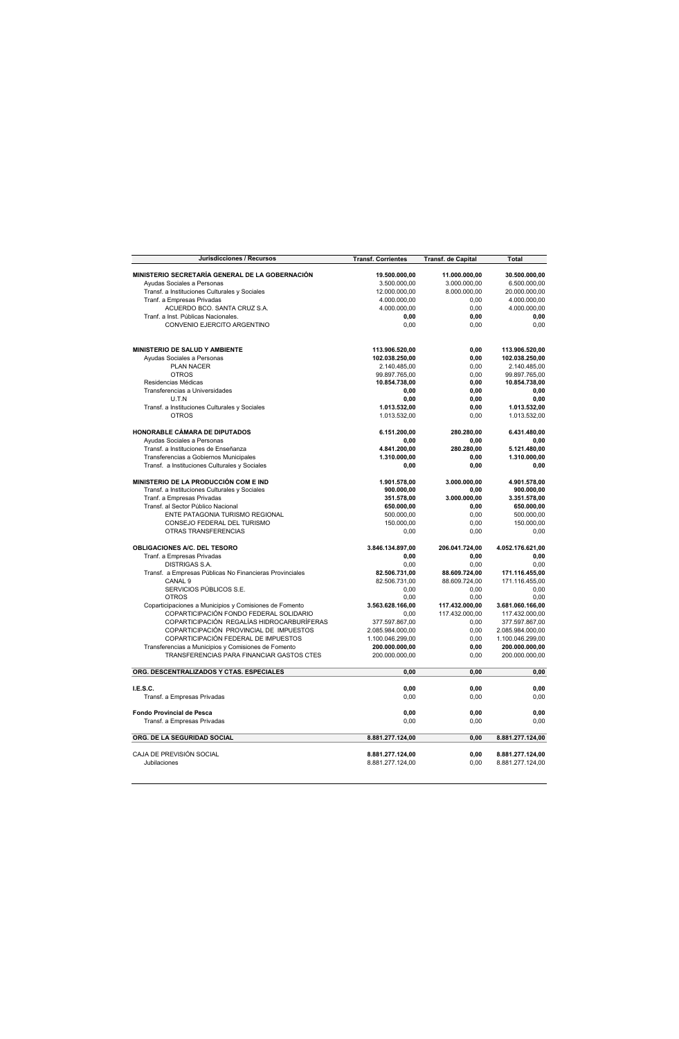| Jurisdicciones / Recursos                                                                        | <b>Transf. Corrientes</b>        | Transf. de Capital | Total                            |
|--------------------------------------------------------------------------------------------------|----------------------------------|--------------------|----------------------------------|
| MINISTERIO SECRETARÍA GENERAL DE LA GOBERNACIÓN                                                  | 19.500.000,00                    | 11.000.000,00      | 30.500.000,00                    |
| Ayudas Sociales a Personas                                                                       | 3.500.000,00                     | 3.000.000,00       | 6.500.000,00                     |
| Transf. a Instituciones Culturales y Sociales                                                    | 12.000.000,00                    | 8.000.000,00       | 20.000.000,00                    |
| Tranf. a Empresas Privadas                                                                       | 4.000.000,00                     | 0,00               | 4.000.000,00                     |
| ACUERDO BCO. SANTA CRUZ S.A.                                                                     | 4.000.000,00                     | 0.00               | 4.000.000,00                     |
| Tranf. a Inst. Públicas Nacionales.                                                              | 0,00                             | 0,00               | 0,00                             |
| CONVENIO EJERCITO ARGENTINO                                                                      | 0.00                             | 0,00               | 0.00                             |
| MINISTERIO DE SALUD Y AMBIENTE                                                                   | 113.906.520,00                   | 0,00               | 113.906.520,00                   |
| Avudas Sociales a Personas                                                                       | 102.038.250,00                   | 0.00               | 102.038.250,00                   |
| PLAN NACER                                                                                       | 2.140.485,00                     | 0,00               | 2.140.485,00                     |
| <b>OTROS</b>                                                                                     | 99.897.765,00                    | 0,00               | 99.897.765,00                    |
| Residencias Médicas                                                                              | 10.854.738,00                    | 0,00               | 10.854.738,00                    |
| Transferencias a Universidades                                                                   | 0.00                             | 0.00               | 0.00                             |
| U.T.N                                                                                            | 0.00                             | 0.00               | 0.00                             |
| Transf. a Instituciones Culturales y Sociales                                                    | 1.013.532,00                     | 0,00               | 1.013.532,00                     |
| <b>OTROS</b>                                                                                     | 1.013.532,00                     | 0,00               | 1.013.532,00                     |
| HONORABLE CÁMARA DE DIPUTADOS                                                                    | 6.151.200,00                     | 280.280,00         | 6.431.480,00                     |
| Ayudas Sociales a Personas                                                                       | 0,00                             | 0,00               | 0,00                             |
| Transf. a Instituciones de Enseñanza                                                             | 4.841.200,00                     | 280.280,00         | 5.121.480,00                     |
| Transferencias a Gobiernos Municipales                                                           | 1.310.000,00                     | 0,00               | 1.310.000,00                     |
| Transf. a Instituciones Culturales y Sociales                                                    | 0,00                             | 0,00               | 0,00                             |
| MINISTERIO DE LA PRODUCCIÓN COM E IND                                                            | 1.901.578,00                     | 3.000.000,00       | 4.901.578,00                     |
| Transf. a Instituciones Culturales y Sociales                                                    | 900.000,00                       | 0,00               | 900.000,00                       |
| Tranf. a Empresas Privadas                                                                       | 351.578,00                       | 3.000.000,00       | 3.351.578,00                     |
| Transf. al Sector Público Nacional                                                               | 650.000,00                       | 0,00               | 650.000,00                       |
| ENTE PATAGONIA TURISMO REGIONAL                                                                  | 500.000,00                       | 0,00               | 500.000,00                       |
| CONSEJO FEDERAL DEL TURISMO                                                                      | 150.000,00                       | 0,00               | 150.000,00                       |
| OTRAS TRANSFERENCIAS                                                                             | 0,00                             | 0,00               | 0,00                             |
| OBLIGACIONES A/C. DEL TESORO                                                                     | 3.846.134.897,00                 | 206.041.724,00     | 4.052.176.621,00                 |
| Tranf. a Empresas Privadas                                                                       | 0,00                             | 0,00               | 0,00                             |
| <b>DISTRIGAS S.A.</b>                                                                            | 0,00                             | 0,00               | 0,00                             |
| Transf. a Empresas Públicas No Financieras Provinciales                                          | 82.506.731,00                    | 88.609.724,00      | 171.116.455,00                   |
| CANAL <sub>9</sub>                                                                               | 82.506.731,00                    | 88.609.724,00      | 171.116.455,00                   |
| SERVICIOS PÚBLICOS S.E.                                                                          | 0,00                             | 0,00               | 0,00                             |
| <b>OTROS</b>                                                                                     | 0,00                             | 0.00               | 0.00                             |
| Coparticipaciones a Municipios y Comisiones de Fomento                                           | 3.563.628.166,00                 | 117.432.000,00     | 3.681.060.166,00                 |
| COPARTICIPACIÓN FONDO FEDERAL SOLIDARIO<br>COPARTICIPACIÓN REGALÍAS HIDROCARBURÍFERAS            | 0.00<br>377.597.867,00           | 117.432.000.00     | 117.432.000.00                   |
| COPARTICIPACIÓN PROVINCIAL DE IMPUESTOS                                                          | 2.085.984.000,00                 | 0,00<br>0.00       | 377.597.867,00                   |
| COPARTICIPACIÓN FEDERAL DE IMPUESTOS                                                             | 1.100.046.299.00                 | 0.00               | 2.085.984.000,00                 |
|                                                                                                  |                                  | 0.00               | 1.100.046.299,00                 |
| Transferencias a Municipios y Comisiones de Fomento<br>TRANSFERENCIAS PARA FINANCIAR GASTOS CTES | 200.000.000,00<br>200.000.000,00 | 0,00               | 200.000.000,00<br>200.000.000,00 |
| ORG. DESCENTRALIZADOS Y CTAS. ESPECIALES                                                         | 0,00                             | 0,00               | 0,00                             |
|                                                                                                  |                                  |                    |                                  |
| I.E.S.C.                                                                                         | 0,00                             | 0,00               | 0,00                             |
| Transf. a Empresas Privadas                                                                      | 0,00                             | 0,00               | 0,00                             |
| Fondo Provincial de Pesca                                                                        | 0,00                             | 0,00               | 0,00                             |
| Transf. a Empresas Privadas                                                                      | 0.00                             | 0,00               | 0,00                             |
| ORG. DE LA SEGURIDAD SOCIAL                                                                      | 8.881.277.124,00                 | 0,00               | 8.881.277.124,00                 |
| CAJA DE PREVISIÓN SOCIAL                                                                         | 8.881.277.124,00                 | 0,00               | 8.881.277.124,00                 |
| Jubilaciones                                                                                     | 8.881.277.124,00                 | 0,00               | 8.881.277.124,00                 |
|                                                                                                  |                                  |                    |                                  |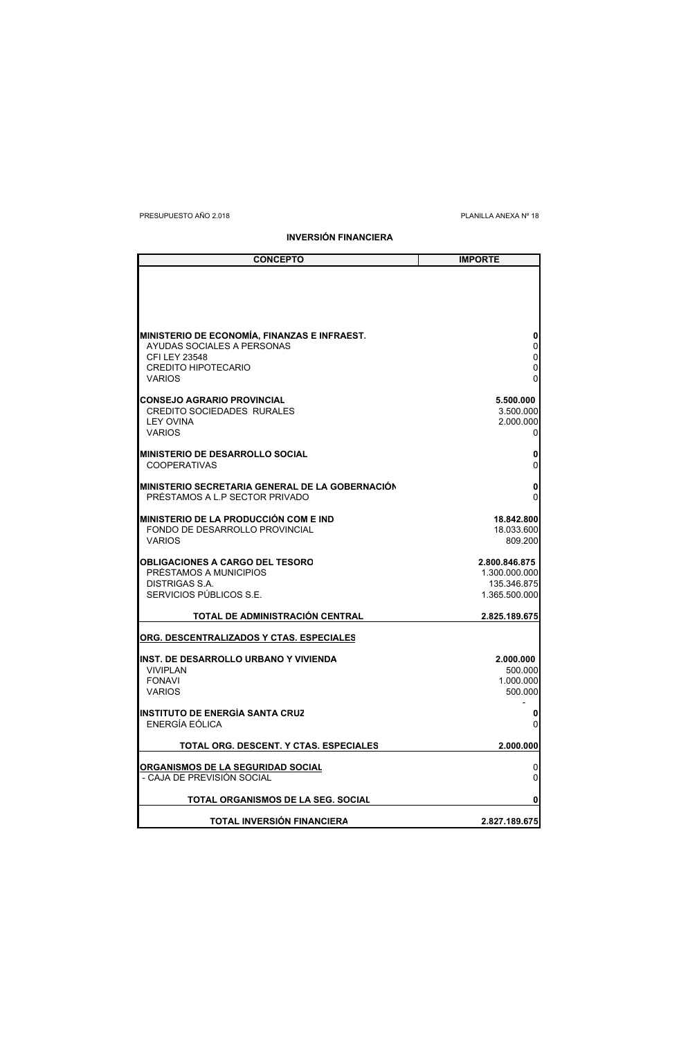PRESUPUESTO AÑO 2.018 PLANILLA ANEXA Nº 18

**INVERSIÓN FINANCIERA**

| <b>CONCEPTO</b>                                                            | <b>IMPORTE</b>                 |
|----------------------------------------------------------------------------|--------------------------------|
|                                                                            |                                |
|                                                                            |                                |
|                                                                            |                                |
|                                                                            |                                |
| MINISTERIO DE ECONOMÍA, FINANZAS E INFRAEST.<br>AYUDAS SOCIALES A PERSONAS | 0<br>0                         |
| <b>CFI LEY 23548</b>                                                       | 0                              |
| <b>CREDITO HIPOTECARIO</b><br><b>VARIOS</b>                                | 0<br>0                         |
|                                                                            |                                |
| <b>CONSEJO AGRARIO PROVINCIAL</b><br><b>CREDITO SOCIEDADES RURALES</b>     | 5.500.000<br>3.500.000         |
| <b>LEY OVINA</b>                                                           | 2.000.000                      |
| <b>VARIOS</b>                                                              | 0                              |
| <b>MINISTERIO DE DESARROLLO SOCIAL</b>                                     | 0                              |
| <b>COOPERATIVAS</b>                                                        | 0                              |
| MINISTERIO SECRETARIA GENERAL DE LA GOBERNACIÓN                            | 0                              |
| PRÉSTAMOS A L.P SECTOR PRIVADO                                             | 0                              |
| <b>MINISTERIO DE LA PRODUCCIÓN COM E IND</b>                               | 18.842.800                     |
| FONDO DE DESARROLLO PROVINCIAL<br><b>VARIOS</b>                            | 18.033.600<br>809.200          |
|                                                                            |                                |
| <b>OBLIGACIONES A CARGO DEL TESORO</b><br>PRÉSTAMOS A MUNICIPIOS           | 2.800.846.875<br>1.300.000.000 |
| DISTRIGAS S.A.                                                             | 135.346.875                    |
| SERVICIOS PÚBLICOS S.E.                                                    | 1.365.500.000                  |
| TOTAL DE ADMINISTRACIÓN CENTRAL                                            | 2.825.189.675                  |
| ORG. DESCENTRALIZADOS Y CTAS. ESPECIALES                                   |                                |
|                                                                            |                                |
| <b>INST. DE DESARROLLO URBANO Y VIVIENDA</b><br><b>VIVIPLAN</b>            | 2.000.000<br>500.000           |
| <b>FONAVI</b>                                                              | 1.000.000                      |
| <b>VARIOS</b>                                                              | 500.000                        |
| <b>INSTITUTO DE ENERGÍA SANTA CRUZ</b>                                     | 0                              |
| ENERGÍA EÓLICA                                                             | 0                              |
| TOTAL ORG. DESCENT. Y CTAS. ESPECIALES                                     | 2.000.000                      |
| ORGANISMOS DE LA SEGURIDAD SOCIAL                                          | 0                              |
| - CAJA DE PREVISIÓN SOCIAL                                                 | 0                              |
| TOTAL ORGANISMOS DE LA SEG. SOCIAL                                         | 0                              |
| TOTAL INVERSION FINANCIERA                                                 | 2.827.189.675                  |